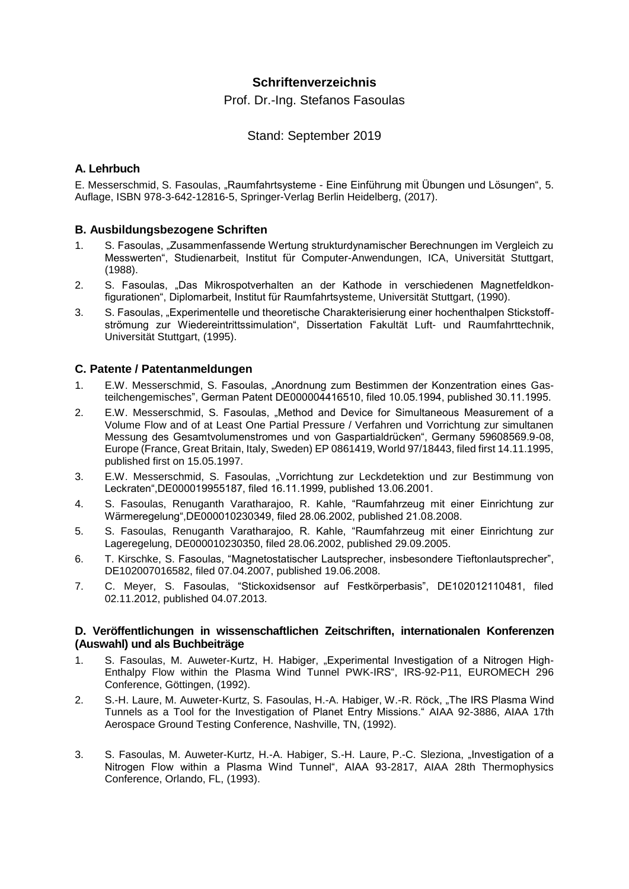## **Schriftenverzeichnis**

Prof. Dr.-Ing. Stefanos Fasoulas

### Stand: September 2019

### **A. Lehrbuch**

E. Messerschmid, S. Fasoulas, "Raumfahrtsysteme - Eine Einführung mit Übungen und Lösungen", 5. Auflage, ISBN 978-3-642-12816-5, Springer-Verlag Berlin Heidelberg, (2017).

### **B. Ausbildungsbezogene Schriften**

- 1. S. Fasoulas, "Zusammenfassende Wertung strukturdynamischer Berechnungen im Vergleich zu Messwerten", Studienarbeit, Institut für Computer-Anwendungen, ICA, Universität Stuttgart, (1988).
- 2. S. Fasoulas, "Das Mikrospotverhalten an der Kathode in verschiedenen Magnetfeldkonfigurationen", Diplomarbeit, Institut für Raumfahrtsysteme, Universität Stuttgart, (1990).
- 3. S. Fasoulas, "Experimentelle und theoretische Charakterisierung einer hochenthalpen Stickstoffströmung zur Wiedereintrittssimulation", Dissertation Fakultät Luft- und Raumfahrttechnik, Universität Stuttgart, (1995).

#### **C. Patente / Patentanmeldungen**

- 1. E.W. Messerschmid, S. Fasoulas, "Anordnung zum Bestimmen der Konzentration eines Gasteilchengemisches", German Patent DE000004416510, filed 10.05.1994, published 30.11.1995.
- 2. E.W. Messerschmid, S. Fasoulas, "Method and Device for Simultaneous Measurement of a Volume Flow and of at Least One Partial Pressure / Verfahren und Vorrichtung zur simultanen Messung des Gesamtvolumenstromes und von Gaspartialdrücken", Germany 59608569.9-08, Europe (France, Great Britain, Italy, Sweden) EP 0861419, World 97/18443, filed first 14.11.1995, published first on 15.05.1997.
- 3. E.W. Messerschmid, S. Fasoulas, "Vorrichtung zur Leckdetektion und zur Bestimmung von Leckraten",DE000019955187, filed 16.11.1999, published 13.06.2001.
- 4. S. Fasoulas, Renuganth Varatharajoo, R. Kahle, "Raumfahrzeug mit einer Einrichtung zur Wärmeregelung",DE000010230349, filed 28.06.2002, published 21.08.2008.
- 5. S. Fasoulas, Renuganth Varatharajoo, R. Kahle, "Raumfahrzeug mit einer Einrichtung zur Lageregelung, DE000010230350, filed 28.06.2002, published 29.09.2005.
- 6. T. Kirschke, S. Fasoulas, "Magnetostatischer Lautsprecher, insbesondere Tieftonlautsprecher", DE102007016582, filed 07.04.2007, published 19.06.2008.
- 7. C. Meyer, S. Fasoulas, "Stickoxidsensor auf Festkörperbasis", DE102012110481, filed 02.11.2012, published 04.07.2013.

#### **D. Veröffentlichungen in wissenschaftlichen Zeitschriften, internationalen Konferenzen (Auswahl) und als Buchbeiträge**

- 1. S. Fasoulas, M. Auweter-Kurtz, H. Habiger, "Experimental Investigation of a Nitrogen High-Enthalpy Flow within the Plasma Wind Tunnel PWK-IRS", IRS-92-P11, EUROMECH 296 Conference, Göttingen, (1992).
- 2. S.-H. Laure, M. Auweter-Kurtz, S. Fasoulas, H.-A. Habiger, W.-R. Röck, "The IRS Plasma Wind Tunnels as a Tool for the Investigation of Planet Entry Missions." AIAA 92-3886, AIAA 17th Aerospace Ground Testing Conference, Nashville, TN, (1992).
- 3. S. Fasoulas, M. Auweter-Kurtz, H.-A. Habiger, S.-H. Laure, P.-C. Sleziona, "Investigation of a Nitrogen Flow within a Plasma Wind Tunnel", AIAA 93-2817, AIAA 28th Thermophysics Conference, Orlando, FL, (1993).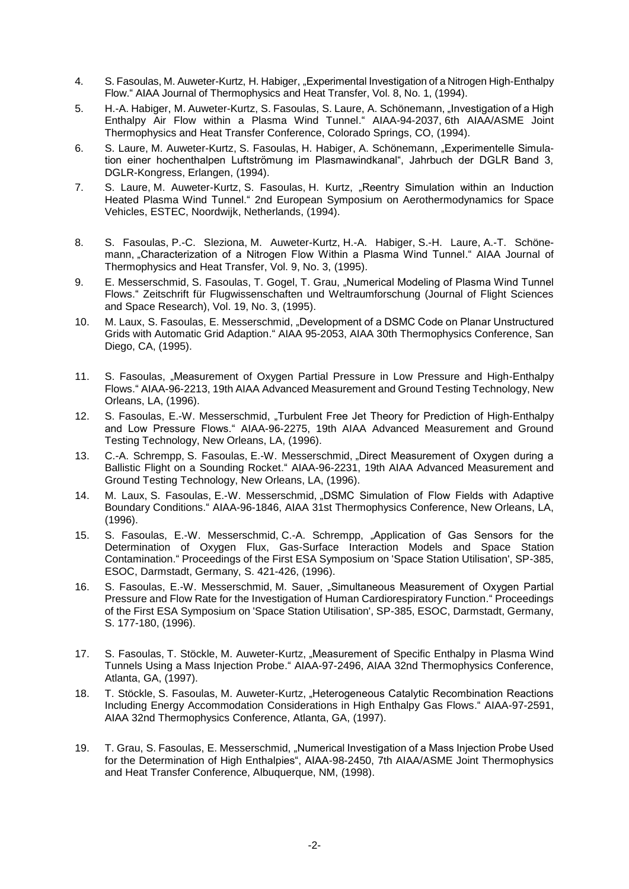- 4. S. Fasoulas, M. Auweter-Kurtz, H. Habiger, "Experimental Investigation of a Nitrogen High-Enthalpy Flow." AIAA Journal of Thermophysics and Heat Transfer, Vol. 8, No. 1, (1994).
- 5. H.-A. Habiger, M. Auweter-Kurtz, S. Fasoulas, S. Laure, A. Schönemann, "Investigation of a High Enthalpy Air Flow within a Plasma Wind Tunnel." AIAA-94-2037, 6th AIAA/ASME Joint Thermophysics and Heat Transfer Conference, Colorado Springs, CO, (1994).
- 6. S. Laure, M. Auweter-Kurtz, S. Fasoulas, H. Habiger, A. Schönemann, "Experimentelle Simulation einer hochenthalpen Luftströmung im Plasmawindkanal", Jahrbuch der DGLR Band 3, DGLR-Kongress, Erlangen, (1994).
- 7. S. Laure, M. Auweter-Kurtz, S. Fasoulas, H. Kurtz, "Reentry Simulation within an Induction Heated Plasma Wind Tunnel." 2nd European Symposium on Aerothermodynamics for Space Vehicles, ESTEC, Noordwijk, Netherlands, (1994).
- 8. S. Fasoulas, P.-C. Sleziona, M. Auweter-Kurtz, H.-A. Habiger, S.-H. Laure, A.-T. Schönemann, "Characterization of a Nitrogen Flow Within a Plasma Wind Tunnel." AIAA Journal of Thermophysics and Heat Transfer, Vol. 9, No. 3, (1995).
- 9. E. Messerschmid, S. Fasoulas, T. Gogel, T. Grau, "Numerical Modeling of Plasma Wind Tunnel Flows." Zeitschrift für Flugwissenschaften und Weltraumforschung (Journal of Flight Sciences and Space Research), Vol. 19, No. 3, (1995).
- 10. M. Laux, S. Fasoulas, E. Messerschmid, "Development of a DSMC Code on Planar Unstructured Grids with Automatic Grid Adaption." AIAA 95-2053, AIAA 30th Thermophysics Conference, San Diego, CA, (1995).
- 11. S. Fasoulas, "Measurement of Oxygen Partial Pressure in Low Pressure and High-Enthalpy Flows." AIAA-96-2213, 19th AIAA Advanced Measurement and Ground Testing Technology, New Orleans, LA, (1996).
- 12. S. Fasoulas, E.-W. Messerschmid, "Turbulent Free Jet Theory for Prediction of High-Enthalpy and Low Pressure Flows." AIAA-96-2275, 19th AIAA Advanced Measurement and Ground Testing Technology, New Orleans, LA, (1996).
- 13. C.-A. Schrempp, S. Fasoulas, E.-W. Messerschmid, "Direct Measurement of Oxygen during a Ballistic Flight on a Sounding Rocket." AIAA-96-2231, 19th AIAA Advanced Measurement and Ground Testing Technology, New Orleans, LA, (1996).
- 14. M. Laux, S. Fasoulas, E.-W. Messerschmid, "DSMC Simulation of Flow Fields with Adaptive Boundary Conditions." AIAA-96-1846, AIAA 31st Thermophysics Conference, New Orleans, LA, (1996).
- 15. S. Fasoulas, E.-W. Messerschmid, C.-A. Schrempp, "Application of Gas Sensors for the Determination of Oxygen Flux, Gas-Surface Interaction Models and Space Station Contamination." Proceedings of the First ESA Symposium on 'Space Station Utilisation', SP-385, ESOC, Darmstadt, Germany, S. 421-426, (1996).
- 16. S. Fasoulas, E.-W. Messerschmid, M. Sauer, "Simultaneous Measurement of Oxygen Partial Pressure and Flow Rate for the Investigation of Human Cardiorespiratory Function." Proceedings of the First ESA Symposium on 'Space Station Utilisation', SP-385, ESOC, Darmstadt, Germany, S. 177-180, (1996).
- 17. S. Fasoulas, T. Stöckle, M. Auweter-Kurtz, "Measurement of Specific Enthalpy in Plasma Wind Tunnels Using a Mass Injection Probe." AIAA-97-2496, AIAA 32nd Thermophysics Conference, Atlanta, GA, (1997).
- 18. T. Stöckle, S. Fasoulas, M. Auweter-Kurtz, "Heterogeneous Catalytic Recombination Reactions Including Energy Accommodation Considerations in High Enthalpy Gas Flows." AIAA-97-2591, AIAA 32nd Thermophysics Conference, Atlanta, GA, (1997).
- 19. T. Grau, S. Fasoulas, E. Messerschmid, "Numerical Investigation of a Mass Injection Probe Used for the Determination of High Enthalpies", AIAA-98-2450, 7th AIAA/ASME Joint Thermophysics and Heat Transfer Conference, Albuquerque, NM, (1998).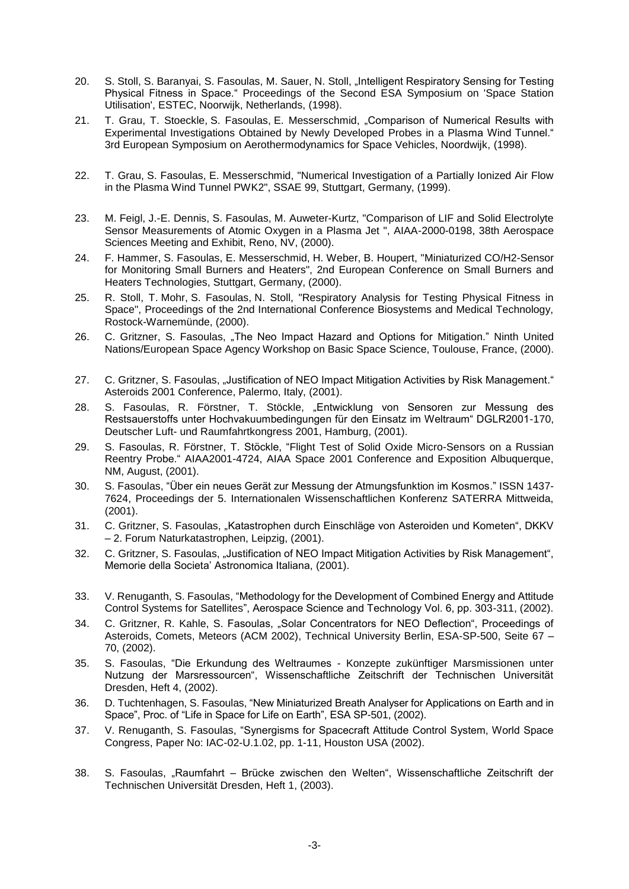- 20. S. Stoll, S. Baranyai, S. Fasoulas, M. Sauer, N. Stoll, "Intelligent Respiratory Sensing for Testing Physical Fitness in Space." Proceedings of the Second ESA Symposium on 'Space Station Utilisation', ESTEC, Noorwijk, Netherlands, (1998).
- 21. T. Grau, T. Stoeckle, S. Fasoulas, E. Messerschmid, "Comparison of Numerical Results with Experimental Investigations Obtained by Newly Developed Probes in a Plasma Wind Tunnel." 3rd European Symposium on Aerothermodynamics for Space Vehicles, Noordwijk, (1998).
- 22. T. Grau, S. Fasoulas, E. Messerschmid, "Numerical Investigation of a Partially Ionized Air Flow in the Plasma Wind Tunnel PWK2", SSAE 99, Stuttgart, Germany, (1999).
- 23. M. Feigl, J.-E. Dennis, S. Fasoulas, M. Auweter-Kurtz, "Comparison of LIF and Solid Electrolyte Sensor Measurements of Atomic Oxygen in a Plasma Jet ", AIAA-2000-0198, 38th Aerospace Sciences Meeting and Exhibit, Reno, NV, (2000).
- 24. F. Hammer, S. Fasoulas, E. Messerschmid, H. Weber, B. Houpert, "Miniaturized CO/H2-Sensor for Monitoring Small Burners and Heaters", 2nd European Conference on Small Burners and Heaters Technologies, Stuttgart, Germany, (2000).
- 25. R. Stoll, T. Mohr, S. Fasoulas, N. Stoll, "Respiratory Analysis for Testing Physical Fitness in Space", Proceedings of the 2nd International Conference Biosystems and Medical Technology, Rostock-Warnemünde, (2000).
- 26. C. Gritzner, S. Fasoulas, "The Neo Impact Hazard and Options for Mitigation." Ninth United Nations/European Space Agency Workshop on Basic Space Science, Toulouse, France, (2000).
- 27. C. Gritzner, S. Fasoulas, "Justification of NEO Impact Mitigation Activities by Risk Management." Asteroids 2001 Conference, Palermo, Italy, (2001).
- 28. S. Fasoulas, R. Förstner, T. Stöckle, "Entwicklung von Sensoren zur Messung des Restsauerstoffs unter Hochvakuumbedingungen für den Einsatz im Weltraum" DGLR2001-170, Deutscher Luft- und Raumfahrtkongress 2001, Hamburg, (2001).
- 29. S. Fasoulas, R. Förstner, T. Stöckle, "Flight Test of Solid Oxide Micro-Sensors on a Russian Reentry Probe." AIAA2001-4724, AIAA Space 2001 Conference and Exposition Albuquerque, NM, August, (2001).
- 30. S. Fasoulas, "Über ein neues Gerät zur Messung der Atmungsfunktion im Kosmos." ISSN 1437- 7624, Proceedings der 5. Internationalen Wissenschaftlichen Konferenz SATERRA Mittweida, (2001).
- 31. C. Gritzner, S. Fasoulas, "Katastrophen durch Einschläge von Asteroiden und Kometen", DKKV – 2. Forum Naturkatastrophen, Leipzig, (2001).
- 32. C. Gritzner, S. Fasoulas, "Justification of NEO Impact Mitigation Activities by Risk Management", Memorie della Societa' Astronomica Italiana, (2001).
- 33. V. Renuganth, S. Fasoulas, "Methodology for the Development of Combined Energy and Attitude Control Systems for Satellites", Aerospace Science and Technology Vol. 6, pp. 303-311, (2002).
- 34. C. Gritzner, R. Kahle, S. Fasoulas, "Solar Concentrators for NEO Deflection", Proceedings of Asteroids, Comets, Meteors (ACM 2002), Technical University Berlin, ESA-SP-500, Seite 67 – 70, (2002).
- 35. S. Fasoulas, "Die Erkundung des Weltraumes Konzepte zukünftiger Marsmissionen unter Nutzung der Marsressourcen", Wissenschaftliche Zeitschrift der Technischen Universität Dresden, Heft 4, (2002).
- 36. D. Tuchtenhagen, S. Fasoulas, "New Miniaturized Breath Analyser for Applications on Earth and in Space", Proc. of "Life in Space for Life on Earth", ESA SP-501, (2002).
- 37. V. Renuganth, S. Fasoulas, "Synergisms for Spacecraft Attitude Control System, World Space Congress, Paper No: IAC-02-U.1.02, pp. 1-11, Houston USA (2002).
- 38. S. Fasoulas, "Raumfahrt Brücke zwischen den Welten", Wissenschaftliche Zeitschrift der Technischen Universität Dresden, Heft 1, (2003).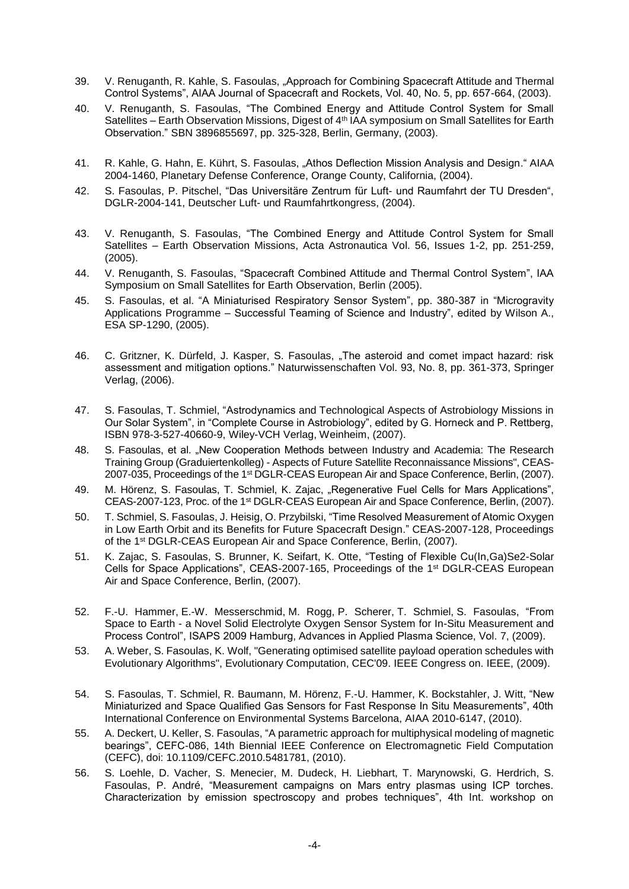- 39. V. Renuganth, R. Kahle, S. Fasoulas, "Approach for Combining Spacecraft Attitude and Thermal Control Systems", AIAA Journal of Spacecraft and Rockets, Vol. 40, No. 5, pp. 657-664, (2003).
- 40. V. Renuganth, S. Fasoulas, "The Combined Energy and Attitude Control System for Small Satellites – Earth Observation Missions, Digest of 4<sup>th</sup> IAA symposium on Small Satellites for Earth Observation." SBN 3896855697, pp. 325-328, Berlin, Germany, (2003).
- 41. R. Kahle, G. Hahn, E. Kührt, S. Fasoulas, "Athos Deflection Mission Analysis and Design." AIAA 2004-1460, Planetary Defense Conference, Orange County, California, (2004).
- 42. S. Fasoulas, P. Pitschel, "Das Universitäre Zentrum für Luft- und Raumfahrt der TU Dresden", DGLR-2004-141, Deutscher Luft- und Raumfahrtkongress, (2004).
- 43. V. Renuganth, S. Fasoulas, "The Combined Energy and Attitude Control System for Small Satellites – Earth Observation Missions, Acta Astronautica Vol. 56, Issues 1-2, pp. 251-259, (2005).
- 44. V. Renuganth, S. Fasoulas, "Spacecraft Combined Attitude and Thermal Control System", IAA Symposium on Small Satellites for Earth Observation, Berlin (2005).
- 45. S. Fasoulas, et al. "A Miniaturised Respiratory Sensor System", pp. 380-387 in "Microgravity Applications Programme – Successful Teaming of Science and Industry", edited by Wilson A., ESA SP-1290, (2005).
- 46. C. Gritzner, K. Dürfeld, J. Kasper, S. Fasoulas, "The asteroid and comet impact hazard: risk assessment and mitigation options." Naturwissenschaften Vol. 93, No. 8, pp. 361-373, Springer Verlag, (2006).
- 47. S. Fasoulas, T. Schmiel, "Astrodynamics and Technological Aspects of Astrobiology Missions in Our Solar System", in "Complete Course in Astrobiology", edited by G. Horneck and P. Rettberg, ISBN 978-3-527-40660-9, Wiley-VCH Verlag, Weinheim, (2007).
- 48. S. Fasoulas, et al. "New Cooperation Methods between Industry and Academia: The Research Training Group (Graduiertenkolleg) - Aspects of Future Satellite Reconnaissance Missions", CEAS-2007-035, Proceedings of the 1<sup>st</sup> DGLR-CEAS European Air and Space Conference, Berlin, (2007).
- 49. M. Hörenz, S. Fasoulas, T. Schmiel, K. Zajac, "Regenerative Fuel Cells for Mars Applications", CEAS-2007-123, Proc. of the 1st DGLR-CEAS European Air and Space Conference, Berlin, (2007).
- 50. T. Schmiel, S. Fasoulas, J. Heisig, O. Przybilski, "Time Resolved Measurement of Atomic Oxygen in Low Earth Orbit and its Benefits for Future Spacecraft Design." CEAS-2007-128, Proceedings of the 1st DGLR-CEAS European Air and Space Conference, Berlin, (2007).
- 51. K. Zajac, S. Fasoulas, S. Brunner, K. Seifart, K. Otte, "Testing of Flexible Cu(In,Ga)Se2-Solar Cells for Space Applications", CEAS-2007-165, Proceedings of the 1st DGLR-CEAS European Air and Space Conference, Berlin, (2007).
- 52. F.-U. Hammer, E.-W. Messerschmid, M. Rogg, P. Scherer, T. Schmiel, S. Fasoulas, "From Space to Earth - a Novel Solid Electrolyte Oxygen Sensor System for In-Situ Measurement and Process Control", ISAPS 2009 Hamburg, Advances in Applied Plasma Science, Vol. 7, (2009).
- 53. A. Weber, S. Fasoulas, K. Wolf, "Generating optimised satellite payload operation schedules with Evolutionary Algorithms", Evolutionary Computation, CEC'09. IEEE Congress on. IEEE, (2009).
- 54. S. Fasoulas, T. Schmiel, R. Baumann, M. Hörenz, F.-U. Hammer, K. Bockstahler, J. Witt, "New Miniaturized and Space Qualified Gas Sensors for Fast Response In Situ Measurements", 40th International Conference on Environmental Systems Barcelona, AIAA 2010-6147, (2010).
- 55. A. Deckert, U. Keller, S. Fasoulas, "A parametric approach for multiphysical modeling of magnetic bearings", CEFC-086, 14th Biennial IEEE Conference on Electromagnetic Field Computation (CEFC), doi: 10.1109/CEFC.2010.5481781, (2010).
- 56. S. Loehle, D. Vacher, S. Menecier, M. Dudeck, H. Liebhart, T. Marynowski, G. Herdrich, S. Fasoulas, P. André, "Measurement campaigns on Mars entry plasmas using ICP torches. Characterization by emission spectroscopy and probes techniques", 4th Int. workshop on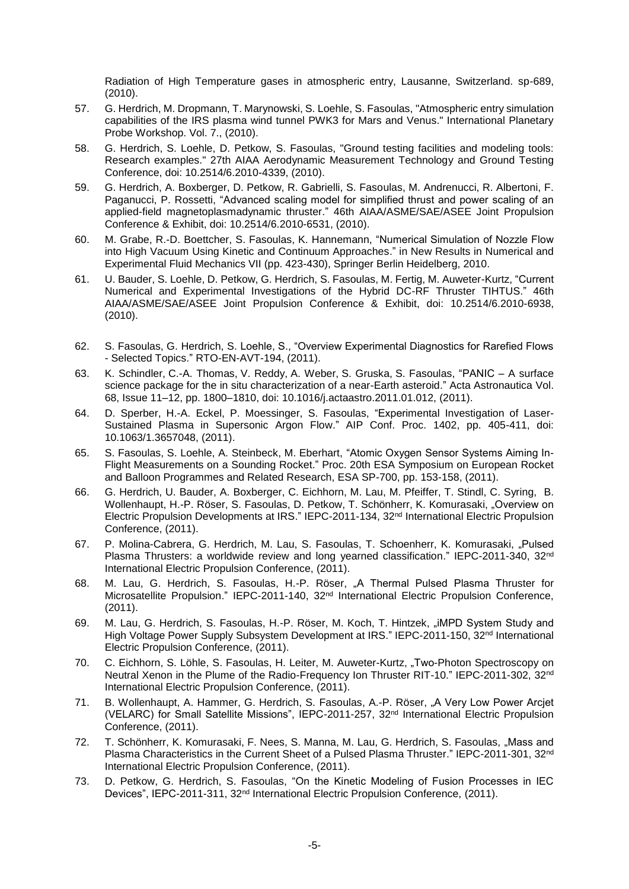Radiation of High Temperature gases in atmospheric entry, Lausanne, Switzerland. sp-689, (2010).

- 57. G. Herdrich, M. Dropmann, T. Marynowski, S. Loehle, S. Fasoulas, "Atmospheric entry simulation capabilities of the IRS plasma wind tunnel PWK3 for Mars and Venus." International Planetary Probe Workshop. Vol. 7., (2010).
- 58. G. Herdrich, S. Loehle, D. Petkow, S. Fasoulas, "Ground testing facilities and modeling tools: Research examples." 27th AIAA Aerodynamic Measurement Technology and Ground Testing Conference, doi: 10.2514/6.2010-4339, (2010).
- 59. G. Herdrich, A. Boxberger, D. Petkow, R. Gabrielli, S. Fasoulas, M. Andrenucci, R. Albertoni, F. Paganucci, P. Rossetti, "Advanced scaling model for simplified thrust and power scaling of an applied-field magnetoplasmadynamic thruster." 46th AIAA/ASME/SAE/ASEE Joint Propulsion Conference & Exhibit, doi: 10.2514/6.2010-6531, (2010).
- 60. M. Grabe, R.-D. Boettcher, S. Fasoulas, K. Hannemann, "Numerical Simulation of Nozzle Flow into High Vacuum Using Kinetic and Continuum Approaches." in New Results in Numerical and Experimental Fluid Mechanics VII (pp. 423-430), Springer Berlin Heidelberg, 2010.
- 61. U. Bauder, S. Loehle, D. Petkow, G. Herdrich, S. Fasoulas, M. Fertig, M. Auweter-Kurtz, "Current Numerical and Experimental Investigations of the Hybrid DC-RF Thruster TIHTUS." 46th AIAA/ASME/SAE/ASEE Joint Propulsion Conference & Exhibit, doi: 10.2514/6.2010-6938, (2010).
- 62. S. Fasoulas, G. Herdrich, S. Loehle, S., "Overview Experimental Diagnostics for Rarefied Flows - Selected Topics." RTO-EN-AVT-194, (2011).
- 63. K. Schindler, C.-A. Thomas, V. Reddy, A. Weber, S. Gruska, S. Fasoulas, "PANIC A surface science package for the in situ characterization of a near-Earth asteroid." Acta Astronautica Vol. 68, Issue 11–12, pp. 1800–1810, doi: 10.1016/j.actaastro.2011.01.012, (2011).
- 64. D. Sperber, H.-A. Eckel, P. Moessinger, S. Fasoulas, "Experimental Investigation of Laser-Sustained Plasma in Supersonic Argon Flow." AIP Conf. Proc. 1402, pp. 405-411, doi: 10.1063/1.3657048, (2011).
- 65. S. Fasoulas, S. Loehle, A. Steinbeck, M. Eberhart, "Atomic Oxygen Sensor Systems Aiming In-Flight Measurements on a Sounding Rocket." Proc. 20th ESA Symposium on European Rocket and Balloon Programmes and Related Research, ESA SP-700, pp. 153-158, (2011).
- 66. G. Herdrich, U. Bauder, A. Boxberger, C. Eichhorn, M. Lau, M. Pfeiffer, T. Stindl, C. Syring, B. Wollenhaupt, H.-P. Röser, S. Fasoulas, D. Petkow, T. Schönherr, K. Komurasaki, "Overview on Electric Propulsion Developments at IRS." IEPC-2011-134, 32nd International Electric Propulsion Conference, (2011).
- 67. P. Molina-Cabrera, G. Herdrich, M. Lau, S. Fasoulas, T. Schoenherr, K. Komurasaki, "Pulsed Plasma Thrusters: a worldwide review and long yearned classification." IEPC-2011-340, 32<sup>nd</sup> International Electric Propulsion Conference, (2011).
- 68. M. Lau, G. Herdrich, S. Fasoulas, H.-P. Röser, "A Thermal Pulsed Plasma Thruster for Microsatellite Propulsion." IEPC-2011-140, 32nd International Electric Propulsion Conference, (2011).
- 69. M. Lau, G. Herdrich, S. Fasoulas, H.-P. Röser, M. Koch, T. Hintzek, "iMPD System Study and High Voltage Power Supply Subsystem Development at IRS." IEPC-2011-150, 32<sup>nd</sup> International Electric Propulsion Conference, (2011).
- 70. C. Eichhorn, S. Löhle, S. Fasoulas, H. Leiter, M. Auweter-Kurtz, "Two-Photon Spectroscopy on Neutral Xenon in the Plume of the Radio-Frequency Ion Thruster RIT-10." IEPC-2011-302, 32nd International Electric Propulsion Conference, (2011).
- 71. B. Wollenhaupt, A. Hammer, G. Herdrich, S. Fasoulas, A.-P. Röser, "A Very Low Power Arcjet (VELARC) for Small Satellite Missions", IEPC-2011-257, 32nd International Electric Propulsion Conference, (2011).
- 72. T. Schönherr, K. Komurasaki, F. Nees, S. Manna, M. Lau, G. Herdrich, S. Fasoulas, "Mass and Plasma Characteristics in the Current Sheet of a Pulsed Plasma Thruster." IEPC-2011-301, 32<sup>nd</sup> International Electric Propulsion Conference, (2011).
- 73. D. Petkow, G. Herdrich, S. Fasoulas, "On the Kinetic Modeling of Fusion Processes in IEC Devices", IEPC-2011-311, 32nd International Electric Propulsion Conference, (2011).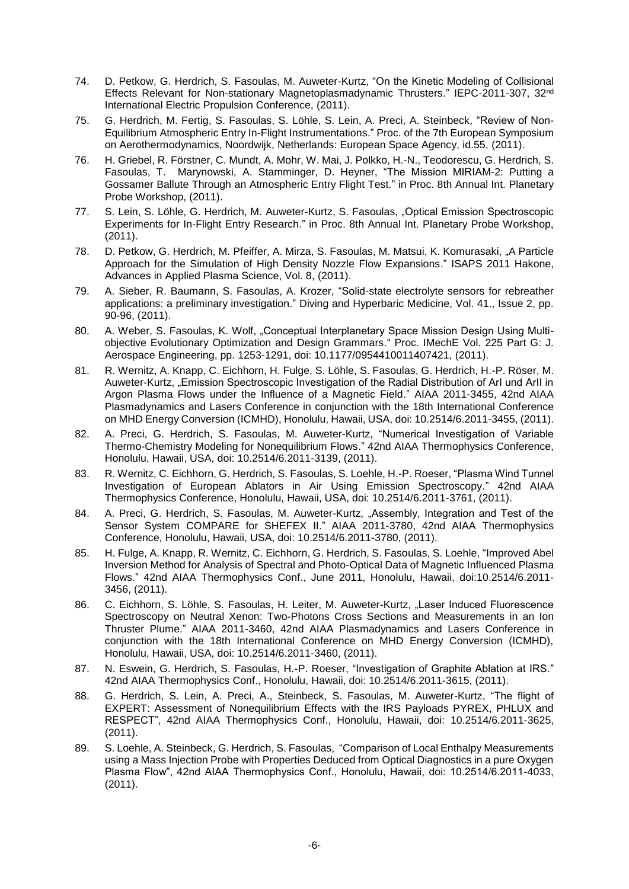- 74. D. Petkow, G. Herdrich, S. Fasoulas, M. Auweter-Kurtz, "On the Kinetic Modeling of Collisional Effects Relevant for Non-stationary Magnetoplasmadynamic Thrusters." IEPC-2011-307, 32nd International Electric Propulsion Conference, (2011).
- 75. G. Herdrich, M. Fertig, S. Fasoulas, S. Löhle, S. Lein, A. Preci, A. Steinbeck, "Review of Non-Equilibrium Atmospheric Entry In-Flight Instrumentations." Proc. of the 7th European Symposium on Aerothermodynamics, Noordwijk, Netherlands: European Space Agency, id.55, (2011).
- 76. H. Griebel, R. Förstner, C. Mundt, A. Mohr, W. Mai, J. Polkko, H.-N., Teodorescu, G. Herdrich, S. Fasoulas, T. Marynowski, A. Stamminger, D. Heyner, "The Mission MIRIAM-2: Putting a Gossamer Ballute Through an Atmospheric Entry Flight Test." in Proc. 8th Annual Int. Planetary Probe Workshop, (2011).
- 77. S. Lein, S. Löhle, G. Herdrich, M. Auweter-Kurtz, S. Fasoulas, "Optical Emission Spectroscopic Experiments for In-Flight Entry Research." in Proc. 8th Annual Int. Planetary Probe Workshop, (2011).
- 78. D. Petkow, G. Herdrich, M. Pfeiffer, A. Mirza, S. Fasoulas, M. Matsui, K. Komurasaki, "A Particle Approach for the Simulation of High Density Nozzle Flow Expansions." ISAPS 2011 Hakone, Advances in Applied Plasma Science, Vol. 8, (2011).
- 79. A. Sieber, R. Baumann, S. Fasoulas, A. Krozer, "Solid-state electrolyte sensors for rebreather applications: a preliminary investigation." Diving and Hyperbaric Medicine, Vol. 41., Issue 2, pp. 90-96, (2011).
- 80. A. Weber, S. Fasoulas, K. Wolf, "Conceptual Interplanetary Space Mission Design Using Multiobjective Evolutionary Optimization and Design Grammars." Proc. IMechE Vol. 225 Part G: J. Aerospace Engineering, pp. 1253-1291, doi: 10.1177/0954410011407421, (2011).
- 81. R. Wernitz, A. Knapp, C. Eichhorn, H. Fulge, S. Löhle, S. Fasoulas, G. Herdrich, H.-P. Röser, M. Auweter-Kurtz, "Emission Spectroscopic Investigation of the Radial Distribution of ArI und ArII in Argon Plasma Flows under the Influence of a Magnetic Field." AIAA 2011-3455, 42nd AIAA Plasmadynamics and Lasers Conference in conjunction with the 18th International Conference on MHD Energy Conversion (ICMHD), Honolulu, Hawaii, USA, doi: 10.2514/6.2011-3455, (2011).
- 82. A. Preci, G. Herdrich, S. Fasoulas, M. Auweter-Kurtz, "Numerical Investigation of Variable Thermo-Chemistry Modeling for Nonequilibrium Flows." 42nd AIAA Thermophysics Conference, Honolulu, Hawaii, USA, doi: 10.2514/6.2011-3139, (2011).
- 83. R. Wernitz, C. Eichhorn, G. Herdrich, S. Fasoulas, S. Loehle, H.-P. Roeser, "Plasma Wind Tunnel Investigation of European Ablators in Air Using Emission Spectroscopy." 42nd AIAA Thermophysics Conference, Honolulu, Hawaii, USA, doi: 10.2514/6.2011-3761, (2011).
- 84. A. Preci, G. Herdrich, S. Fasoulas, M. Auweter-Kurtz, "Assembly, Integration and Test of the Sensor System COMPARE for SHEFEX II." AIAA 2011-3780, 42nd AIAA Thermophysics Conference, Honolulu, Hawaii, USA, doi: 10.2514/6.2011-3780, (2011).
- 85. H. Fulge, A. Knapp, R. Wernitz, C. Eichhorn, G. Herdrich, S. Fasoulas, S. Loehle, "Improved Abel Inversion Method for Analysis of Spectral and Photo-Optical Data of Magnetic Influenced Plasma Flows." 42nd AIAA Thermophysics Conf., June 2011, Honolulu, Hawaii, doi:10.2514/6.2011- 3456, (2011).
- 86. C. Eichhorn, S. Löhle, S. Fasoulas, H. Leiter, M. Auweter-Kurtz, "Laser Induced Fluorescence Spectroscopy on Neutral Xenon: Two-Photons Cross Sections and Measurements in an Ion Thruster Plume." AIAA 2011-3460, 42nd AIAA Plasmadynamics and Lasers Conference in conjunction with the 18th International Conference on MHD Energy Conversion (ICMHD), Honolulu, Hawaii, USA, doi: 10.2514/6.2011-3460, (2011).
- 87. N. Eswein, G. Herdrich, S. Fasoulas, H.-P. Roeser, "Investigation of Graphite Ablation at IRS." 42nd AIAA Thermophysics Conf., Honolulu, Hawaii, doi: 10.2514/6.2011-3615, (2011).
- 88. G. Herdrich, S. Lein, A. Preci, A., Steinbeck, S. Fasoulas, M. Auweter-Kurtz, "The flight of EXPERT: Assessment of Nonequilibrium Effects with the IRS Payloads PYREX, PHLUX and RESPECT", 42nd AIAA Thermophysics Conf., Honolulu, Hawaii, doi: 10.2514/6.2011-3625, (2011).
- 89. S. Loehle, A. Steinbeck, G. Herdrich, S. Fasoulas, "Comparison of Local Enthalpy Measurements using a Mass Injection Probe with Properties Deduced from Optical Diagnostics in a pure Oxygen Plasma Flow", 42nd AIAA Thermophysics Conf., Honolulu, Hawaii, doi: 10.2514/6.2011-4033, (2011).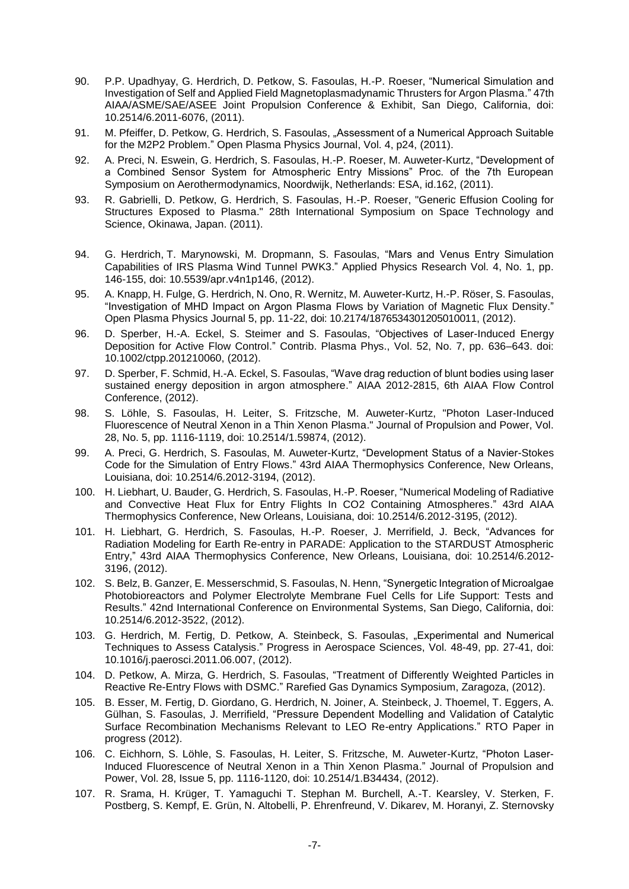- 90. P.P. Upadhyay, G. Herdrich, D. Petkow, S. Fasoulas, H.-P. Roeser, "Numerical Simulation and Investigation of Self and Applied Field Magnetoplasmadynamic Thrusters for Argon Plasma." 47th AIAA/ASME/SAE/ASEE Joint Propulsion Conference & Exhibit, San Diego, California, doi: 10.2514/6.2011-6076, (2011).
- 91. M. Pfeiffer, D. Petkow, G. Herdrich, S. Fasoulas, "Assessment of a Numerical Approach Suitable for the M2P2 Problem." Open Plasma Physics Journal, Vol. 4, p24, (2011).
- 92. A. Preci, N. Eswein, G. Herdrich, S. Fasoulas, H.-P. Roeser, M. Auweter-Kurtz, "Development of a Combined Sensor System for Atmospheric Entry Missions" Proc. of the 7th European Symposium on Aerothermodynamics, Noordwijk, Netherlands: ESA, id.162, (2011).
- 93. R. Gabrielli, D. Petkow, G. Herdrich, S. Fasoulas, H.-P. Roeser, "Generic Effusion Cooling for Structures Exposed to Plasma." 28th International Symposium on Space Technology and Science, Okinawa, Japan. (2011).
- 94. G. Herdrich, T. Marynowski, M. Dropmann, S. Fasoulas, "Mars and Venus Entry Simulation Capabilities of IRS Plasma Wind Tunnel PWK3." Applied Physics Research Vol. 4, No. 1, pp. 146-155, doi: 10.5539/apr.v4n1p146, (2012).
- 95. A. Knapp, H. Fulge, G. Herdrich, N. Ono, R. Wernitz, M. Auweter-Kurtz, H.-P. Röser, S. Fasoulas, "Investigation of MHD Impact on Argon Plasma Flows by Variation of Magnetic Flux Density." Open Plasma Physics Journal 5, pp. 11-22, doi: 10.2174/1876534301205010011, (2012).
- 96. D. Sperber, H.-A. Eckel, S. Steimer and S. Fasoulas, "Objectives of Laser-Induced Energy Deposition for Active Flow Control." Contrib. Plasma Phys., Vol. 52, No. 7, pp. 636–643. doi: 10.1002/ctpp.201210060, (2012).
- 97. D. Sperber, F. Schmid, H.-A. Eckel, S. Fasoulas, "Wave drag reduction of blunt bodies using laser sustained energy deposition in argon atmosphere." AIAA 2012-2815, 6th AIAA Flow Control Conference, (2012).
- 98. S. Löhle, S. Fasoulas, H. Leiter, S. Fritzsche, M. Auweter-Kurtz, "Photon Laser-Induced Fluorescence of Neutral Xenon in a Thin Xenon Plasma." Journal of Propulsion and Power, Vol. 28, No. 5, pp. 1116-1119, doi: 10.2514/1.59874, (2012).
- 99. A. Preci, G. Herdrich, S. Fasoulas, M. Auweter-Kurtz, "Development Status of a Navier-Stokes Code for the Simulation of Entry Flows." 43rd AIAA Thermophysics Conference, New Orleans, Louisiana, doi: 10.2514/6.2012-3194, (2012).
- 100. H. Liebhart, U. Bauder, G. Herdrich, S. Fasoulas, H.-P. Roeser, "Numerical Modeling of Radiative and Convective Heat Flux for Entry Flights In CO2 Containing Atmospheres." 43rd AIAA Thermophysics Conference, New Orleans, Louisiana, doi: 10.2514/6.2012-3195, (2012).
- 101. H. Liebhart, G. Herdrich, S. Fasoulas, H.-P. Roeser, J. Merrifield, J. Beck, "Advances for Radiation Modeling for Earth Re-entry in PARADE: Application to the STARDUST Atmospheric Entry," 43rd AIAA Thermophysics Conference, New Orleans, Louisiana, doi: 10.2514/6.2012- 3196, (2012).
- 102. S. Belz, B. Ganzer, E. Messerschmid, S. Fasoulas, N. Henn, "Synergetic Integration of Microalgae Photobioreactors and Polymer Electrolyte Membrane Fuel Cells for Life Support: Tests and Results." 42nd International Conference on Environmental Systems, San Diego, California, doi: 10.2514/6.2012-3522, (2012).
- 103. G. Herdrich, M. Fertig, D. Petkow, A. Steinbeck, S. Fasoulas, "Experimental and Numerical Techniques to Assess Catalysis." Progress in Aerospace Sciences, Vol. 48-49, pp. 27-41, doi: 10.1016/j.paerosci.2011.06.007, (2012).
- 104. D. Petkow, A. Mirza, G. Herdrich, S. Fasoulas, "Treatment of Differently Weighted Particles in Reactive Re-Entry Flows with DSMC." Rarefied Gas Dynamics Symposium, Zaragoza, (2012).
- 105. B. Esser, M. Fertig, D. Giordano, G. Herdrich, N. Joiner, A. Steinbeck, J. Thoemel, T. Eggers, A. Gülhan, S. Fasoulas, J. Merrifield, "Pressure Dependent Modelling and Validation of Catalytic Surface Recombination Mechanisms Relevant to LEO Re-entry Applications." RTO Paper in progress (2012).
- 106. C. Eichhorn, S. Löhle, S. Fasoulas, H. Leiter, S. Fritzsche, M. Auweter-Kurtz, "Photon Laser-Induced Fluorescence of Neutral Xenon in a Thin Xenon Plasma." Journal of Propulsion and Power, Vol. 28, Issue 5, pp. 1116-1120, doi: 10.2514/1.B34434, (2012).
- 107. R. Srama, H. Krüger, T. Yamaguchi T. Stephan M. Burchell, A.-T. Kearsley, V. Sterken, F. Postberg, S. Kempf, E. Grün, N. Altobelli, P. Ehrenfreund, V. Dikarev, M. Horanyi, Z. Sternovsky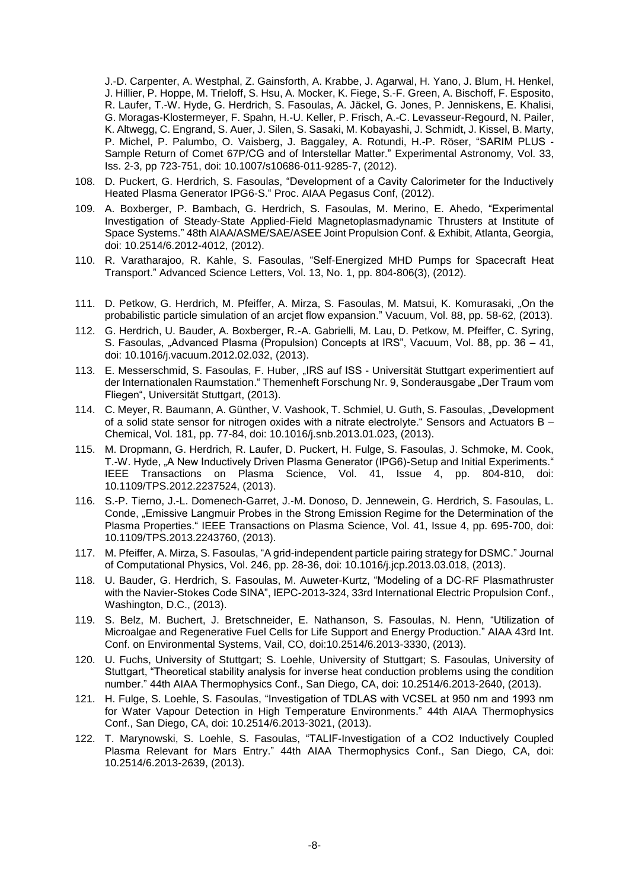J.-D. Carpenter, A. Westphal, Z. Gainsforth, A. Krabbe, J. Agarwal, H. Yano, J. Blum, H. Henkel, J. Hillier, P. Hoppe, M. Trieloff, S. Hsu, A. Mocker, K. Fiege, S.-F. Green, A. Bischoff, F. Esposito, R. Laufer, T.-W. Hyde, G. Herdrich, S. Fasoulas, A. Jäckel, G. Jones, P. Jenniskens, E. Khalisi, G. Moragas-Klostermeyer, F. Spahn, H.-U. Keller, P. Frisch, A.-C. Levasseur-Regourd, N. Pailer, K. Altwegg, C. Engrand, S. Auer, J. Silen, S. Sasaki, M. Kobayashi, J. Schmidt, J. Kissel, B. Marty, P. Michel, P. Palumbo, O. Vaisberg, J. Baggaley, A. Rotundi, H.-P. Röser, "SARIM PLUS - Sample Return of Comet 67P/CG and of Interstellar Matter." Experimental Astronomy, Vol. 33, Iss. 2-3, pp 723-751, doi: 10.1007/s10686-011-9285-7, (2012).

- 108. D. Puckert, G. Herdrich, S. Fasoulas, "Development of a Cavity Calorimeter for the Inductively Heated Plasma Generator IPG6-S." Proc. AIAA Pegasus Conf, (2012).
- 109. A. Boxberger, P. Bambach, G. Herdrich, S. Fasoulas, M. Merino, E. Ahedo, "Experimental Investigation of Steady-State Applied-Field Magnetoplasmadynamic Thrusters at Institute of Space Systems." 48th AIAA/ASME/SAE/ASEE Joint Propulsion Conf. & Exhibit, Atlanta, Georgia, doi: 10.2514/6.2012-4012, (2012).
- 110. R. Varatharajoo, R. Kahle, S. Fasoulas, "Self-Energized MHD Pumps for Spacecraft Heat Transport." Advanced Science Letters, Vol. 13, No. 1, pp. 804-806(3), (2012).
- 111. D. Petkow, G. Herdrich, M. Pfeiffer, A. Mirza, S. Fasoulas, M. Matsui, K. Komurasaki, "On the probabilistic particle simulation of an arcjet flow expansion." Vacuum, Vol. 88, pp. 58-62, (2013).
- 112. G. Herdrich, U. Bauder, A. Boxberger, R.-A. Gabrielli, M. Lau, D. Petkow, M. Pfeiffer, C. Syring, S. Fasoulas, "Advanced Plasma (Propulsion) Concepts at IRS", Vacuum, Vol. 88, pp. 36 – 41, doi: 10.1016/j.vacuum.2012.02.032, (2013).
- 113. E. Messerschmid, S. Fasoulas, F. Huber, "IRS auf ISS Universität Stuttgart experimentiert auf der Internationalen Raumstation." Themenheft Forschung Nr. 9, Sonderausgabe "Der Traum vom Fliegen", Universität Stuttgart, (2013).
- 114. C. Meyer, R. Baumann, A. Günther, V. Vashook, T. Schmiel, U. Guth, S. Fasoulas, "Development of a solid state sensor for nitrogen oxides with a nitrate electrolyte." Sensors and Actuators B – Chemical, Vol. 181, pp. 77-84, doi: 10.1016/j.snb.2013.01.023, (2013).
- 115. M. Dropmann, G. Herdrich, R. Laufer, D. Puckert, H. Fulge, S. Fasoulas, J. Schmoke, M. Cook, T.-W. Hyde, "A New Inductively Driven Plasma Generator (IPG6)-Setup and Initial Experiments." IEEE Transactions on Plasma Science, Vol. 41, Issue 4, pp. 804-810, doi: 10.1109/TPS.2012.2237524, (2013).
- 116. S.-P. Tierno, J.-L. Domenech-Garret, J.-M. Donoso, D. Jennewein, G. Herdrich, S. Fasoulas, L. Conde, "Emissive Langmuir Probes in the Strong Emission Regime for the Determination of the Plasma Properties." IEEE Transactions on Plasma Science, Vol. 41, Issue 4, pp. 695-700, doi: 10.1109/TPS.2013.2243760, (2013).
- 117. M. Pfeiffer, A. Mirza, S. Fasoulas, "A grid-independent particle pairing strategy for DSMC." Journal of Computational Physics, Vol. 246, pp. 28-36, doi: 10.1016/j.jcp.2013.03.018, (2013).
- 118. U. Bauder, G. Herdrich, S. Fasoulas, M. Auweter-Kurtz, "Modeling of a DC-RF Plasmathruster with the Navier-Stokes Code SINA", IEPC-2013-324, 33rd International Electric Propulsion Conf., Washington, D.C., (2013).
- 119. S. Belz, M. Buchert, J. Bretschneider, E. Nathanson, S. Fasoulas, N. Henn, "Utilization of Microalgae and Regenerative Fuel Cells for Life Support and Energy Production." AIAA 43rd Int. Conf. on Environmental Systems, Vail, CO, doi:10.2514/6.2013-3330, (2013).
- 120. U. Fuchs, University of Stuttgart; S. Loehle, University of Stuttgart; S. Fasoulas, University of Stuttgart, "Theoretical stability analysis for inverse heat conduction problems using the condition number." 44th AIAA Thermophysics Conf., San Diego, CA, doi: 10.2514/6.2013-2640, (2013).
- 121. H. Fulge, S. Loehle, S. Fasoulas, "Investigation of TDLAS with VCSEL at 950 nm and 1993 nm for Water Vapour Detection in High Temperature Environments." 44th AIAA Thermophysics Conf., San Diego, CA, doi: 10.2514/6.2013-3021, (2013).
- 122. T. Marynowski, S. Loehle, S. Fasoulas, "TALIF-Investigation of a CO2 Inductively Coupled Plasma Relevant for Mars Entry." 44th AIAA Thermophysics Conf., San Diego, CA, doi: 10.2514/6.2013-2639, (2013).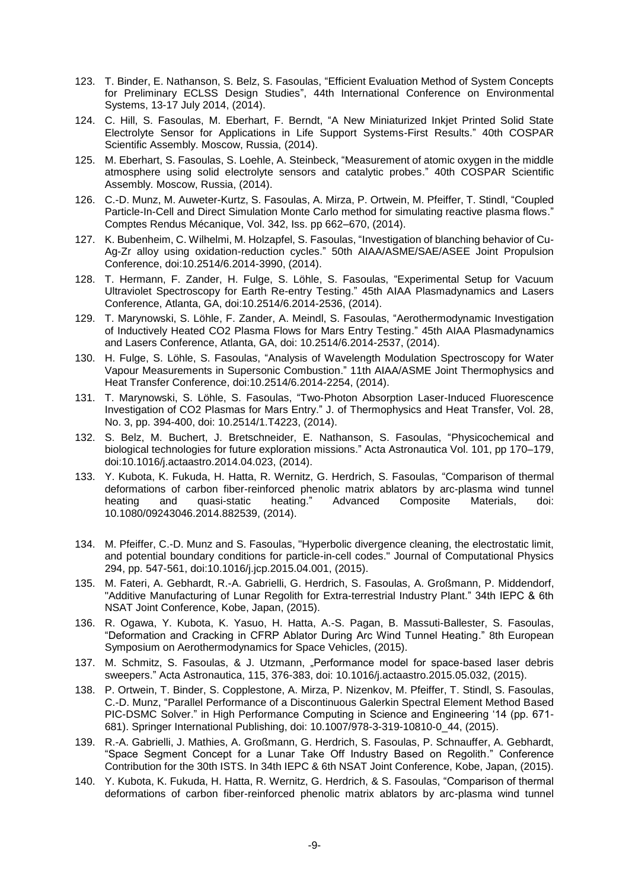- 123. T. Binder, E. Nathanson, S. Belz, S. Fasoulas, "Efficient Evaluation Method of System Concepts for Preliminary ECLSS Design Studies", 44th International Conference on Environmental Systems, 13-17 July 2014, (2014).
- 124. C. Hill, S. Fasoulas, M. Eberhart, F. Berndt, "A New Miniaturized Inkjet Printed Solid State Electrolyte Sensor for Applications in Life Support Systems-First Results." 40th COSPAR Scientific Assembly. Moscow, Russia, (2014).
- 125. M. Eberhart, S. Fasoulas, S. Loehle, A. Steinbeck, "Measurement of atomic oxygen in the middle atmosphere using solid electrolyte sensors and catalytic probes." 40th COSPAR Scientific Assembly. Moscow, Russia, (2014).
- 126. C.-D. Munz, M. Auweter-Kurtz, S. Fasoulas, A. Mirza, P. Ortwein, M. Pfeiffer, T. Stindl, "Coupled Particle-In-Cell and Direct Simulation Monte Carlo method for simulating reactive plasma flows." Comptes Rendus Mécanique, Vol. 342, Iss. pp 662–670, (2014).
- 127. K. Bubenheim, C. Wilhelmi, M. Holzapfel, S. Fasoulas, "Investigation of blanching behavior of Cu-Ag-Zr alloy using oxidation-reduction cycles." 50th AIAA/ASME/SAE/ASEE Joint Propulsion Conference, doi:10.2514/6.2014-3990, (2014).
- 128. T. Hermann, F. Zander, H. Fulge, S. Löhle, S. Fasoulas, "Experimental Setup for Vacuum Ultraviolet Spectroscopy for Earth Re-entry Testing." 45th AIAA Plasmadynamics and Lasers Conference, Atlanta, GA, doi:10.2514/6.2014-2536, (2014).
- 129. T. Marynowski, S. Löhle, F. Zander, A. Meindl, S. Fasoulas, "Aerothermodynamic Investigation of Inductively Heated CO2 Plasma Flows for Mars Entry Testing." 45th AIAA Plasmadynamics and Lasers Conference, Atlanta, GA, doi: 10.2514/6.2014-2537, (2014).
- 130. H. Fulge, S. Löhle, S. Fasoulas, "Analysis of Wavelength Modulation Spectroscopy for Water Vapour Measurements in Supersonic Combustion." 11th AIAA/ASME Joint Thermophysics and Heat Transfer Conference, doi:10.2514/6.2014-2254, (2014).
- 131. T. Marynowski, S. Löhle, S. Fasoulas, "Two-Photon Absorption Laser-Induced Fluorescence Investigation of CO2 Plasmas for Mars Entry." J. of Thermophysics and Heat Transfer, Vol. 28, No. 3, pp. 394-400, doi: 10.2514/1.T4223, (2014).
- 132. S. Belz, M. Buchert, J. Bretschneider, E. Nathanson, S. Fasoulas, "Physicochemical and biological technologies for future exploration missions." Acta Astronautica Vol. 101, pp 170–179, doi:10.1016/j.actaastro.2014.04.023, (2014).
- 133. Y. Kubota, K. Fukuda, H. Hatta, R. Wernitz, G. Herdrich, S. Fasoulas, "Comparison of thermal deformations of carbon fiber-reinforced phenolic matrix ablators by arc-plasma wind tunnel heating and quasi-static heating." Advanced Composite Materials, doi: 10.1080/09243046.2014.882539, (2014).
- 134. M. Pfeiffer, C.-D. Munz and S. Fasoulas, "Hyperbolic divergence cleaning, the electrostatic limit, and potential boundary conditions for particle-in-cell codes." Journal of Computational Physics 294, pp. 547-561, doi:10.1016/j.jcp.2015.04.001, (2015).
- 135. M. Fateri, A. Gebhardt, R.-A. Gabrielli, G. Herdrich, S. Fasoulas, A. Großmann, P. Middendorf, "Additive Manufacturing of Lunar Regolith for Extra-terrestrial Industry Plant." 34th IEPC & 6th NSAT Joint Conference, Kobe, Japan, (2015).
- 136. R. Ogawa, Y. Kubota, K. Yasuo, H. Hatta, A.-S. Pagan, B. Massuti-Ballester, S. Fasoulas, "Deformation and Cracking in CFRP Ablator During Arc Wind Tunnel Heating." 8th European Symposium on Aerothermodynamics for Space Vehicles, (2015).
- 137. M. Schmitz, S. Fasoulas, & J. Utzmann, "Performance model for space-based laser debris sweepers." Acta Astronautica, 115, 376-383, doi: 10.1016/j.actaastro.2015.05.032, (2015).
- 138. P. Ortwein, T. Binder, S. Copplestone, A. Mirza, P. Nizenkov, M. Pfeiffer, T. Stindl, S. Fasoulas, C.-D. Munz, "Parallel Performance of a Discontinuous Galerkin Spectral Element Method Based PIC-DSMC Solver." in High Performance Computing in Science and Engineering '14 (pp. 671- 681). Springer International Publishing, doi: 10.1007/978-3-319-10810-0\_44, (2015).
- 139. R.-A. Gabrielli, J. Mathies, A. Großmann, G. Herdrich, S. Fasoulas, P. Schnauffer, A. Gebhardt, "Space Segment Concept for a Lunar Take Off Industry Based on Regolith." Conference Contribution for the 30th ISTS. In 34th IEPC & 6th NSAT Joint Conference, Kobe, Japan, (2015).
- 140. Y. Kubota, K. Fukuda, H. Hatta, R. Wernitz, G. Herdrich, & S. Fasoulas, "Comparison of thermal deformations of carbon fiber-reinforced phenolic matrix ablators by arc-plasma wind tunnel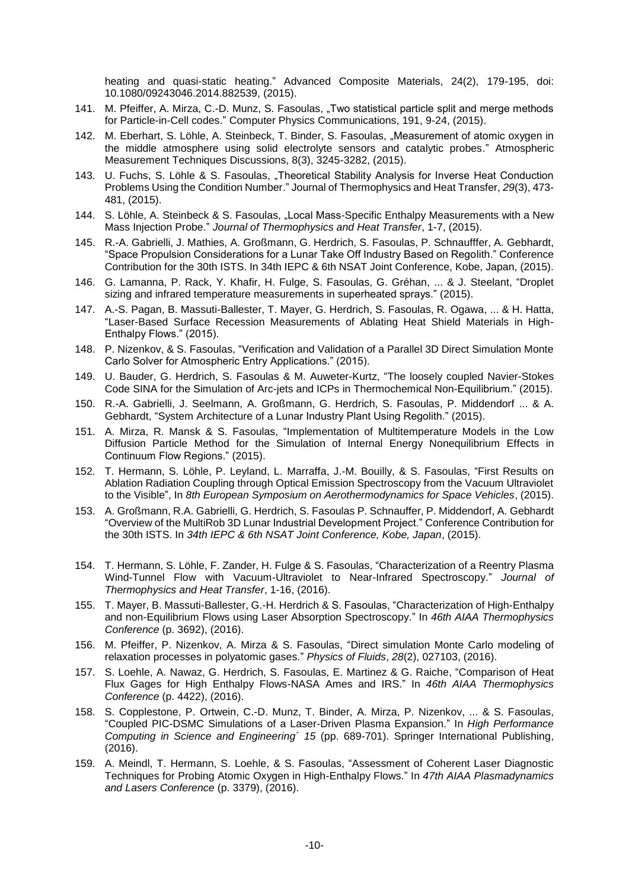heating and quasi-static heating." Advanced Composite Materials, 24(2), 179-195, doi: 10.1080/09243046.2014.882539, (2015).

- 141. M. Pfeiffer, A. Mirza, C.-D. Munz, S. Fasoulas, "Two statistical particle split and merge methods for Particle-in-Cell codes." Computer Physics Communications, 191, 9-24, (2015).
- 142. M. Eberhart, S. Löhle, A. Steinbeck, T. Binder, S. Fasoulas, "Measurement of atomic oxygen in the middle atmosphere using solid electrolyte sensors and catalytic probes." Atmospheric Measurement Techniques Discussions, 8(3), 3245-3282, (2015).
- 143. U. Fuchs, S. Löhle & S. Fasoulas, "Theoretical Stability Analysis for Inverse Heat Conduction Problems Using the Condition Number." Journal of Thermophysics and Heat Transfer, *29*(3), 473- 481, (2015).
- 144. S. Löhle, A. Steinbeck & S. Fasoulas, "Local Mass-Specific Enthalpy Measurements with a New Mass Injection Probe." *Journal of Thermophysics and Heat Transfer*, 1-7, (2015).
- 145. R.-A. Gabrielli, J. Mathies, A. Großmann, G. Herdrich, S. Fasoulas, P. Schnaufffer, A. Gebhardt, "Space Propulsion Considerations for a Lunar Take Off Industry Based on Regolith." Conference Contribution for the 30th ISTS. In 34th IEPC & 6th NSAT Joint Conference, Kobe, Japan, (2015).
- 146. G. Lamanna, P. Rack, Y. Khafir, H. Fulge, S. Fasoulas, G. Gréhan, ... & J. Steelant, "Droplet sizing and infrared temperature measurements in superheated sprays." (2015).
- 147. A.-S. Pagan, B. Massuti-Ballester, T. Mayer, G. Herdrich, S. Fasoulas, R. Ogawa, ... & H. Hatta, "Laser-Based Surface Recession Measurements of Ablating Heat Shield Materials in High-Enthalpy Flows." (2015).
- 148. P. Nizenkov, & S. Fasoulas, "Verification and Validation of a Parallel 3D Direct Simulation Monte Carlo Solver for Atmospheric Entry Applications." (2015).
- 149. U. Bauder, G. Herdrich, S. Fasoulas & M. Auweter-Kurtz, "The loosely coupled Navier-Stokes Code SINA for the Simulation of Arc-jets and ICPs in Thermochemical Non-Equilibrium." (2015).
- 150. R.-A. Gabrielli, J. Seelmann, A. Großmann, G. Herdrich, S. Fasoulas, P. Middendorf ... & A. Gebhardt, "System Architecture of a Lunar Industry Plant Using Regolith." (2015).
- 151. A. Mirza, R. Mansk & S. Fasoulas, "Implementation of Multitemperature Models in the Low Diffusion Particle Method for the Simulation of Internal Energy Nonequilibrium Effects in Continuum Flow Regions." (2015).
- 152. T. Hermann, S. Löhle, P. Leyland, L. Marraffa, J.-M. Bouilly, & S. Fasoulas, "First Results on Ablation Radiation Coupling through Optical Emission Spectroscopy from the Vacuum Ultraviolet to the Visible", In *8th European Symposium on Aerothermodynamics for Space Vehicles*, (2015).
- 153. A. Großmann, R.A. Gabrielli, G. Herdrich, S. Fasoulas P. Schnauffer, P. Middendorf, A. Gebhardt "Overview of the MultiRob 3D Lunar Industrial Development Project." Conference Contribution for the 30th ISTS. In *34th IEPC & 6th NSAT Joint Conference, Kobe, Japan*, (2015).
- 154. T. Hermann, S. Löhle, F. Zander, H. Fulge & S. Fasoulas, "Characterization of a Reentry Plasma Wind-Tunnel Flow with Vacuum-Ultraviolet to Near-Infrared Spectroscopy." *Journal of Thermophysics and Heat Transfer*, 1-16, (2016).
- 155. T. Mayer, B. Massuti-Ballester, G.-H. Herdrich & S. Fasoulas, "Characterization of High-Enthalpy and non-Equilibrium Flows using Laser Absorption Spectroscopy." In *46th AIAA Thermophysics Conference* (p. 3692), (2016).
- 156. M. Pfeiffer, P. Nizenkov, A. Mirza & S. Fasoulas, "Direct simulation Monte Carlo modeling of relaxation processes in polyatomic gases." *Physics of Fluids*, *28*(2), 027103, (2016).
- 157. S. Loehle, A. Nawaz, G. Herdrich, S. Fasoulas, E. Martinez & G. Raiche, "Comparison of Heat Flux Gages for High Enthalpy Flows-NASA Ames and IRS." In *46th AIAA Thermophysics Conference* (p. 4422), (2016).
- 158. S. Copplestone, P. Ortwein, C.-D. Munz, T. Binder, A. Mirza, P. Nizenkov, ... & S. Fasoulas, "Coupled PIC-DSMC Simulations of a Laser-Driven Plasma Expansion." In *High Performance Computing in Science and Engineering´ 15* (pp. 689-701). Springer International Publishing, (2016).
- 159. A. Meindl, T. Hermann, S. Loehle, & S. Fasoulas, "Assessment of Coherent Laser Diagnostic Techniques for Probing Atomic Oxygen in High-Enthalpy Flows." In *47th AIAA Plasmadynamics and Lasers Conference* (p. 3379), (2016).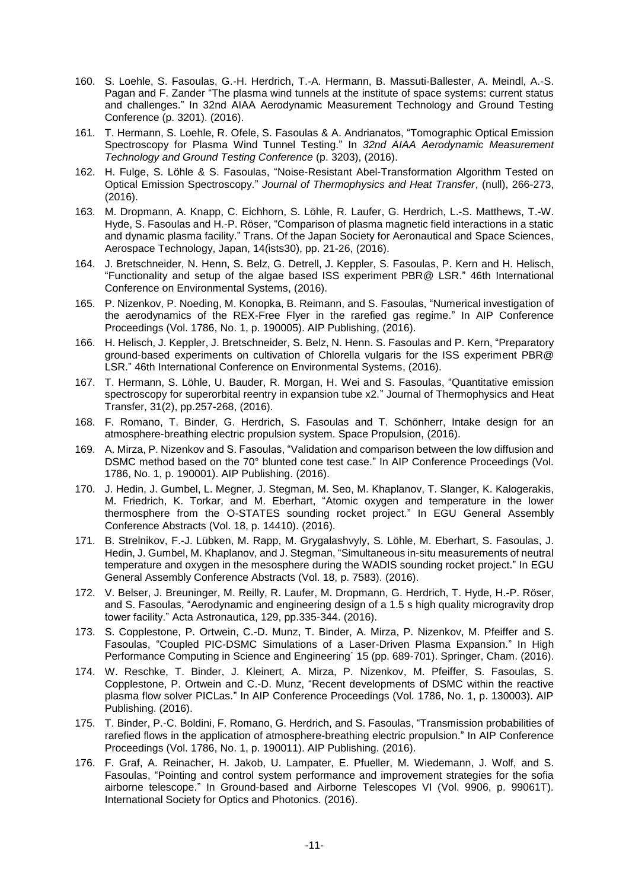- 160. S. Loehle, S. Fasoulas, G.-H. Herdrich, T.-A. Hermann, B. Massuti-Ballester, A. Meindl, A.-S. Pagan and F. Zander "The plasma wind tunnels at the institute of space systems: current status and challenges." In 32nd AIAA Aerodynamic Measurement Technology and Ground Testing Conference (p. 3201). (2016).
- 161. T. Hermann, S. Loehle, R. Ofele, S. Fasoulas & A. Andrianatos, "Tomographic Optical Emission Spectroscopy for Plasma Wind Tunnel Testing." In *32nd AIAA Aerodynamic Measurement Technology and Ground Testing Conference* (p. 3203), (2016).
- 162. H. Fulge, S. Löhle & S. Fasoulas, "Noise-Resistant Abel-Transformation Algorithm Tested on Optical Emission Spectroscopy." *Journal of Thermophysics and Heat Transfer*, (null), 266-273, (2016).
- 163. M. Dropmann, A. Knapp, C. Eichhorn, S. Löhle, R. Laufer, G. Herdrich, L.-S. Matthews, T.-W. Hyde, S. Fasoulas and H.-P. Röser, "Comparison of plasma magnetic field interactions in a static and dynamic plasma facility." Trans. Of the Japan Society for Aeronautical and Space Sciences, Aerospace Technology, Japan, 14(ists30), pp. 21-26, (2016).
- 164. J. Bretschneider, N. Henn, S. Belz, G. Detrell, J. Keppler, S. Fasoulas, P. Kern and H. Helisch, "Functionality and setup of the algae based ISS experiment PBR@ LSR." 46th International Conference on Environmental Systems, (2016).
- 165. P. Nizenkov, P. Noeding, M. Konopka, B. Reimann, and S. Fasoulas, "Numerical investigation of the aerodynamics of the REX-Free Flyer in the rarefied gas regime." In AIP Conference Proceedings (Vol. 1786, No. 1, p. 190005). AIP Publishing, (2016).
- 166. H. Helisch, J. Keppler, J. Bretschneider, S. Belz, N. Henn. S. Fasoulas and P. Kern, "Preparatory ground-based experiments on cultivation of Chlorella vulgaris for the ISS experiment PBR@ LSR." 46th International Conference on Environmental Systems, (2016).
- 167. T. Hermann, S. Löhle, U. Bauder, R. Morgan, H. Wei and S. Fasoulas, "Quantitative emission spectroscopy for superorbital reentry in expansion tube x2." Journal of Thermophysics and Heat Transfer, 31(2), pp.257-268, (2016).
- 168. F. Romano, T. Binder, G. Herdrich, S. Fasoulas and T. Schönherr, Intake design for an atmosphere-breathing electric propulsion system. Space Propulsion, (2016).
- 169. A. Mirza, P. Nizenkov and S. Fasoulas, "Validation and comparison between the low diffusion and DSMC method based on the 70° blunted cone test case." In AIP Conference Proceedings (Vol. 1786, No. 1, p. 190001). AIP Publishing. (2016).
- 170. J. Hedin, J. Gumbel, L. Megner, J. Stegman, M. Seo, M. Khaplanov, T. Slanger, K. Kalogerakis, M. Friedrich, K. Torkar, and M. Eberhart, "Atomic oxygen and temperature in the lower thermosphere from the O-STATES sounding rocket project." In EGU General Assembly Conference Abstracts (Vol. 18, p. 14410). (2016).
- 171. B. Strelnikov, F.-J. Lübken, M. Rapp, M. Grygalashvyly, S. Löhle, M. Eberhart, S. Fasoulas, J. Hedin, J. Gumbel, M. Khaplanov, and J. Stegman, "Simultaneous in-situ measurements of neutral temperature and oxygen in the mesosphere during the WADIS sounding rocket project." In EGU General Assembly Conference Abstracts (Vol. 18, p. 7583). (2016).
- 172. V. Belser, J. Breuninger, M. Reilly, R. Laufer, M. Dropmann, G. Herdrich, T. Hyde, H.-P. Röser, and S. Fasoulas, "Aerodynamic and engineering design of a 1.5 s high quality microgravity drop tower facility." Acta Astronautica, 129, pp.335-344. (2016).
- 173. S. Copplestone, P. Ortwein, C.-D. Munz, T. Binder, A. Mirza, P. Nizenkov, M. Pfeiffer and S. Fasoulas, "Coupled PIC-DSMC Simulations of a Laser-Driven Plasma Expansion." In High Performance Computing in Science and Engineering´ 15 (pp. 689-701). Springer, Cham. (2016).
- 174. W. Reschke, T. Binder, J. Kleinert, A. Mirza, P. Nizenkov, M. Pfeiffer, S. Fasoulas, S. Copplestone, P. Ortwein and C.-D. Munz, "Recent developments of DSMC within the reactive plasma flow solver PICLas." In AIP Conference Proceedings (Vol. 1786, No. 1, p. 130003). AIP Publishing. (2016).
- 175. T. Binder, P.-C. Boldini, F. Romano, G. Herdrich, and S. Fasoulas, "Transmission probabilities of rarefied flows in the application of atmosphere-breathing electric propulsion." In AIP Conference Proceedings (Vol. 1786, No. 1, p. 190011). AIP Publishing. (2016).
- 176. F. Graf, A. Reinacher, H. Jakob, U. Lampater, E. Pfueller, M. Wiedemann, J. Wolf, and S. Fasoulas, "Pointing and control system performance and improvement strategies for the sofia airborne telescope." In Ground-based and Airborne Telescopes VI (Vol. 9906, p. 99061T). International Society for Optics and Photonics. (2016).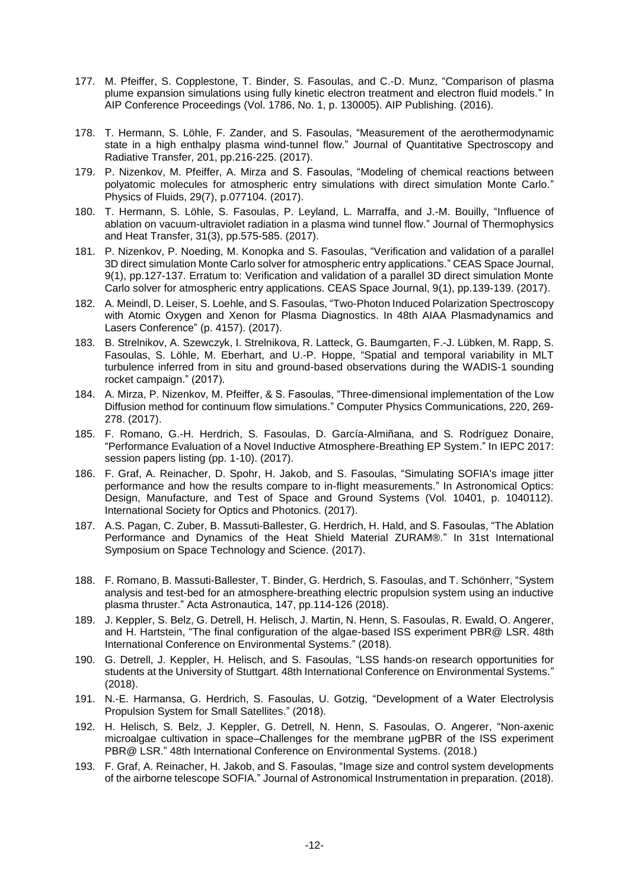- 177. M. Pfeiffer, S. Copplestone, T. Binder, S. Fasoulas, and C.-D. Munz, "Comparison of plasma plume expansion simulations using fully kinetic electron treatment and electron fluid models." In AIP Conference Proceedings (Vol. 1786, No. 1, p. 130005). AIP Publishing. (2016).
- 178. T. Hermann, S. Löhle, F. Zander, and S. Fasoulas, "Measurement of the aerothermodynamic state in a high enthalpy plasma wind-tunnel flow." Journal of Quantitative Spectroscopy and Radiative Transfer, 201, pp.216-225. (2017).
- 179. P. Nizenkov, M. Pfeiffer, A. Mirza and S. Fasoulas, "Modeling of chemical reactions between polyatomic molecules for atmospheric entry simulations with direct simulation Monte Carlo." Physics of Fluids, 29(7), p.077104. (2017).
- 180. T. Hermann, S. Löhle, S. Fasoulas, P. Leyland, L. Marraffa, and J.-M. Bouilly, "Influence of ablation on vacuum-ultraviolet radiation in a plasma wind tunnel flow." Journal of Thermophysics and Heat Transfer, 31(3), pp.575-585. (2017).
- 181. P. Nizenkov, P. Noeding, M. Konopka and S. Fasoulas, "Verification and validation of a parallel 3D direct simulation Monte Carlo solver for atmospheric entry applications." CEAS Space Journal, 9(1), pp.127-137. Erratum to: Verification and validation of a parallel 3D direct simulation Monte Carlo solver for atmospheric entry applications. CEAS Space Journal, 9(1), pp.139-139. (2017).
- 182. A. Meindl, D. Leiser, S. Loehle, and S. Fasoulas, "Two-Photon Induced Polarization Spectroscopy with Atomic Oxygen and Xenon for Plasma Diagnostics. In 48th AIAA Plasmadynamics and Lasers Conference" (p. 4157). (2017).
- 183. B. Strelnikov, A. Szewczyk, I. Strelnikova, R. Latteck, G. Baumgarten, F.-J. Lübken, M. Rapp, S. Fasoulas, S. Löhle, M. Eberhart, and U.-P. Hoppe, "Spatial and temporal variability in MLT turbulence inferred from in situ and ground-based observations during the WADIS-1 sounding rocket campaign." (2017).
- 184. A. Mirza, P. Nizenkov, M. Pfeiffer, & S. Fasoulas, "Three-dimensional implementation of the Low Diffusion method for continuum flow simulations." Computer Physics Communications, 220, 269- 278. (2017).
- 185. F. Romano, G.-H. Herdrich, S. Fasoulas, D. García-Almiñana, and S. Rodríguez Donaire, "Performance Evaluation of a Novel Inductive Atmosphere-Breathing EP System." In IEPC 2017: session papers listing (pp. 1-10). (2017).
- 186. F. Graf, A. Reinacher, D. Spohr, H. Jakob, and S. Fasoulas, "Simulating SOFIA's image jitter performance and how the results compare to in-flight measurements." In Astronomical Optics: Design, Manufacture, and Test of Space and Ground Systems (Vol. 10401, p. 1040112). International Society for Optics and Photonics. (2017).
- 187. A.S. Pagan, C. Zuber, B. Massuti-Ballester, G. Herdrich, H. Hald, and S. Fasoulas, "The Ablation Performance and Dynamics of the Heat Shield Material ZURAM®." In 31st International Symposium on Space Technology and Science. (2017).
- 188. F. Romano, B. Massuti-Ballester, T. Binder, G. Herdrich, S. Fasoulas, and T. Schönherr, "System analysis and test-bed for an atmosphere-breathing electric propulsion system using an inductive plasma thruster." Acta Astronautica, 147, pp.114-126 (2018).
- 189. J. Keppler, S. Belz, G. Detrell, H. Helisch, J. Martin, N. Henn, S. Fasoulas, R. Ewald, O. Angerer, and H. Hartstein, "The final configuration of the algae-based ISS experiment PBR@ LSR. 48th International Conference on Environmental Systems." (2018).
- 190. G. Detrell, J. Keppler, H. Helisch, and S. Fasoulas, "LSS hands-on research opportunities for students at the University of Stuttgart. 48th International Conference on Environmental Systems." (2018).
- 191. N.-E. Harmansa, G. Herdrich, S. Fasoulas, U. Gotzig, "Development of a Water Electrolysis Propulsion System for Small Satellites." (2018).
- 192. H. Helisch, S. Belz, J. Keppler, G. Detrell, N. Henn, S. Fasoulas, O. Angerer, "Non-axenic microalgae cultivation in space–Challenges for the membrane µgPBR of the ISS experiment PBR@ LSR." 48th International Conference on Environmental Systems. (2018.)
- 193. F. Graf, A. Reinacher, H. Jakob, and S. Fasoulas, "Image size and control system developments of the airborne telescope SOFIA." Journal of Astronomical Instrumentation in preparation. (2018).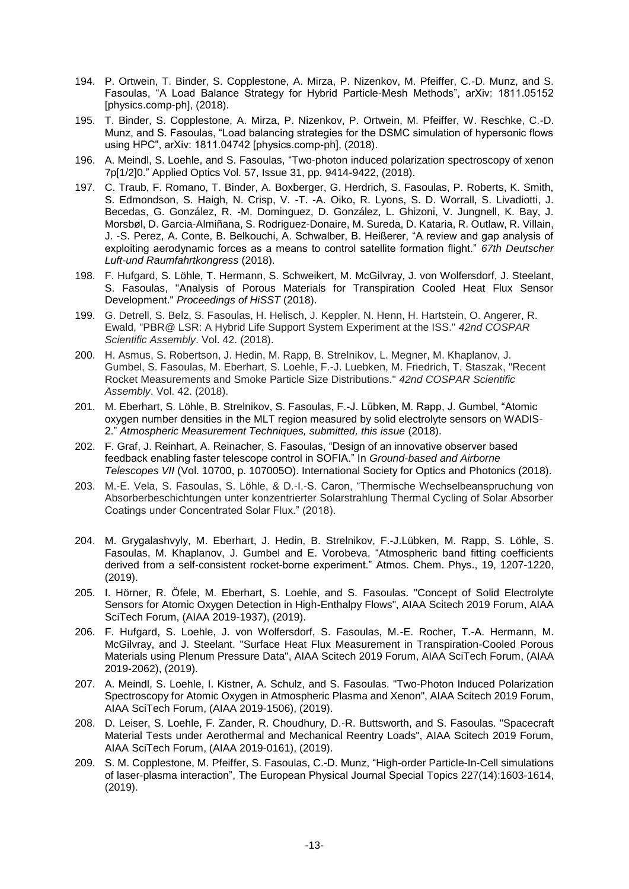- 194. P. Ortwein, T. Binder, S. Copplestone, A. Mirza, P. Nizenkov, M. Pfeiffer, C.-D. Munz, and S. Fasoulas, "A Load Balance Strategy for Hybrid Particle-Mesh Methods", arXiv: 1811.05152 [physics.comp-ph], (2018).
- 195. T. Binder, S. Copplestone, A. Mirza, P. Nizenkov, P. Ortwein, M. Pfeiffer, W. Reschke, C.-D. Munz, and S. Fasoulas, "Load balancing strategies for the DSMC simulation of hypersonic flows using HPC", arXiv: 1811.04742 [physics.comp-ph], (2018).
- 196. A. Meindl, S. Loehle, and S. Fasoulas, "Two-photon induced polarization spectroscopy of xenon 7p[1/2]0." Applied Optics Vol. 57, Issue 31, pp. 9414-9422, (2018).
- 197. C. Traub, F. Romano, T. Binder, A. Boxberger, G. Herdrich, S. Fasoulas, P. Roberts, K. Smith, S. Edmondson, S. Haigh, N. Crisp, V. -T. -A. Oiko, R. Lyons, S. D. Worrall, S. Livadiotti, J. Becedas, G. González, R. -M. Dominguez, D. González, L. Ghizoni, V. Jungnell, K. Bay, J. Morsbøl, D. Garcia-Almiñana, S. Rodriguez-Donaire, M. Sureda, D. Kataria, R. Outlaw, R. Villain, J. -S. Perez, A. Conte, B. Belkouchi, A. Schwalber, B. Heißerer, "A review and gap analysis of exploiting aerodynamic forces as a means to control satellite formation flight." *67th Deutscher Luft-und Raumfahrtkongress* (2018).
- 198. F. Hufgard, S. Löhle, T. Hermann, S. Schweikert, M. McGilvray, J. von Wolfersdorf, J. Steelant, S. Fasoulas, "Analysis of Porous Materials for Transpiration Cooled Heat Flux Sensor Development." *Proceedings of HiSST* (2018).
- 199. G. Detrell, S. Belz, S. Fasoulas, H. Helisch, J. Keppler, N. Henn, H. Hartstein, O. Angerer, R. Ewald, "PBR@ LSR: A Hybrid Life Support System Experiment at the ISS." *42nd COSPAR Scientific Assembly*. Vol. 42. (2018).
- 200. H. Asmus, S. Robertson, J. Hedin, M. Rapp, B. Strelnikov, L. Megner, M. Khaplanov, J. Gumbel, S. Fasoulas, M. Eberhart, S. Loehle, F.-J. Luebken, M. Friedrich, T. Staszak, "Recent Rocket Measurements and Smoke Particle Size Distributions." *42nd COSPAR Scientific Assembly*. Vol. 42. (2018).
- 201. M. Eberhart, S. Löhle, B. Strelnikov, S. Fasoulas, F.-J. Lübken, M. Rapp, J. Gumbel, "Atomic oxygen number densities in the MLT region measured by solid electrolyte sensors on WADIS-2." *Atmospheric Measurement Techniques, submitted, this issue* (2018).
- 202. F. Graf, J. Reinhart, A. Reinacher, S. Fasoulas, "Design of an innovative observer based feedback enabling faster telescope control in SOFIA." In *Ground-based and Airborne Telescopes VII* (Vol. 10700, p. 107005O). International Society for Optics and Photonics (2018).
- 203. M.-E. Vela, S. Fasoulas, S. Löhle, & D.-I.-S. Caron, "Thermische Wechselbeanspruchung von Absorberbeschichtungen unter konzentrierter Solarstrahlung Thermal Cycling of Solar Absorber Coatings under Concentrated Solar Flux." (2018).
- 204. M. Grygalashvyly, M. Eberhart, J. Hedin, B. Strelnikov, F.-J.Lübken, M. Rapp, S. Löhle, S. Fasoulas, M. Khaplanov, J. Gumbel and E. Vorobeva, "Atmospheric band fitting coefficients derived from a self-consistent rocket-borne experiment." Atmos. Chem. Phys., 19, 1207-1220, (2019).
- 205. I. Hörner, R. Öfele, M. Eberhart, S. Loehle, and S. Fasoulas. "Concept of Solid Electrolyte Sensors for Atomic Oxygen Detection in High-Enthalpy Flows", AIAA Scitech 2019 Forum, AIAA SciTech Forum, (AIAA 2019-1937), (2019).
- 206. F. Hufgard, S. Loehle, J. von Wolfersdorf, S. Fasoulas, M.-E. Rocher, T.-A. Hermann, M. McGilvray, and J. Steelant. "Surface Heat Flux Measurement in Transpiration-Cooled Porous Materials using Plenum Pressure Data", AIAA Scitech 2019 Forum, AIAA SciTech Forum, (AIAA 2019-2062), (2019).
- 207. A. Meindl, S. Loehle, I. Kistner, A. Schulz, and S. Fasoulas. "Two-Photon Induced Polarization Spectroscopy for Atomic Oxygen in Atmospheric Plasma and Xenon", AIAA Scitech 2019 Forum, AIAA SciTech Forum, (AIAA 2019-1506), (2019).
- 208. D. Leiser, S. Loehle, F. Zander, R. Choudhury, D.-R. Buttsworth, and S. Fasoulas. "Spacecraft Material Tests under Aerothermal and Mechanical Reentry Loads", AIAA Scitech 2019 Forum, AIAA SciTech Forum, (AIAA 2019-0161), (2019).
- 209. S. M. Copplestone, M. Pfeiffer, S. Fasoulas, C.-D. Munz, "High-order Particle-In-Cell simulations of laser-plasma interaction", The European Physical Journal Special Topics 227(14):1603-1614, (2019).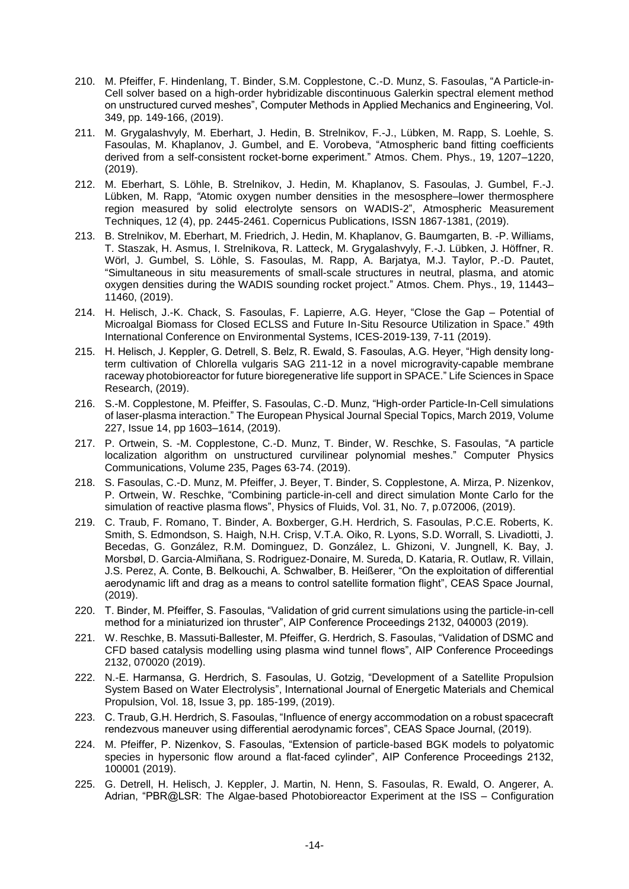- 210. M. Pfeiffer, F. Hindenlang, T. Binder, S.M. Copplestone, C.-D. Munz, S. Fasoulas, "A Particle-in-Cell solver based on a high-order hybridizable discontinuous Galerkin spectral element method on unstructured curved meshes", Computer Methods in Applied Mechanics and Engineering, Vol. 349, pp. 149-166, (2019).
- 211. M. Grygalashvyly, M. Eberhart, J. Hedin, B. Strelnikov, F.-J., Lübken, M. Rapp, S. Loehle, S. Fasoulas, M. Khaplanov, J. Gumbel, and E. Vorobeva, "Atmospheric band fitting coefficients derived from a self-consistent rocket-borne experiment." Atmos. Chem. Phys., 19, 1207–1220, (2019).
- 212. M. Eberhart, S. Löhle, B. Strelnikov, J. Hedin, M. Khaplanov, S. Fasoulas, J. Gumbel, F.-J. Lübken, M. Rapp, *"*Atomic oxygen number densities in the mesosphere–lower thermosphere region measured by solid electrolyte sensors on WADIS-2", Atmospheric Measurement Techniques, 12 (4), pp. 2445-2461. Copernicus Publications, ISSN 1867-1381, (2019).
- 213. B. Strelnikov, M. Eberhart, M. Friedrich, J. Hedin, M. Khaplanov, G. Baumgarten, B. -P. Williams, T. Staszak, H. Asmus, I. Strelnikova, R. Latteck, M. Grygalashvyly, F.-J. Lübken, J. Höffner, R. Wörl, J. Gumbel, S. Löhle, S. Fasoulas, M. Rapp, A. Barjatya, M.J. Taylor, P.-D. Pautet, "Simultaneous in situ measurements of small-scale structures in neutral, plasma, and atomic oxygen densities during the WADIS sounding rocket project." Atmos. Chem. Phys., 19, 11443– 11460, (2019).
- 214. H. Helisch, J.-K. Chack, S. Fasoulas, F. Lapierre, A.G. Heyer, "Close the Gap Potential of Microalgal Biomass for Closed ECLSS and Future In-Situ Resource Utilization in Space." 49th International Conference on Environmental Systems, ICES-2019-139, 7-11 (2019).
- 215. H. Helisch, J. Keppler, G. Detrell, S. Belz, R. Ewald, S. Fasoulas, A.G. Heyer, "High density longterm cultivation of Chlorella vulgaris SAG 211-12 in a novel microgravity-capable membrane raceway photobioreactor for future bioregenerative life support in SPACE." Life Sciences in Space Research, (2019).
- 216. S.-M. Copplestone, M. Pfeiffer, S. Fasoulas, C.-D. Munz, "High-order Particle-In-Cell simulations of laser-plasma interaction." The European Physical Journal Special Topics, March 2019, Volume 227, Issue 14, pp 1603–1614, (2019).
- 217. P. Ortwein, S. -M. Copplestone, C.-D. Munz, T. Binder, W. Reschke, S. Fasoulas, "A particle localization algorithm on unstructured curvilinear polynomial meshes." Computer Physics Communications, Volume 235, Pages 63-74. (2019).
- 218. S. Fasoulas, C.-D. Munz, M. Pfeiffer, J. Beyer, T. Binder, S. Copplestone, A. Mirza, P. Nizenkov, P. Ortwein, W. Reschke, "Combining particle-in-cell and direct simulation Monte Carlo for the simulation of reactive plasma flows", Physics of Fluids, Vol. 31, No. 7, p.072006, (2019).
- 219. C. Traub, F. Romano, T. Binder, A. Boxberger, G.H. Herdrich, S. Fasoulas, P.C.E. Roberts, K. Smith, S. Edmondson, S. Haigh, N.H. Crisp, V.T.A. Oiko, R. Lyons, S.D. Worrall, S. Livadiotti, J. Becedas, G. González, R.M. Dominguez, D. González, L. Ghizoni, V. Jungnell, K. Bay, J. Morsbøl, D. Garcia-Almiñana, S. Rodriguez-Donaire, M. Sureda, D. Kataria, R. Outlaw, R. Villain, J.S. Perez, A. Conte, B. Belkouchi, A. Schwalber, B. Heißerer, "On the exploitation of differential aerodynamic lift and drag as a means to control satellite formation flight", CEAS Space Journal, (2019).
- 220. T. Binder, M. Pfeiffer, S. Fasoulas, "Validation of grid current simulations using the particle-in-cell method for a miniaturized ion thruster", AIP Conference Proceedings 2132, 040003 (2019).
- 221. W. Reschke, B. Massuti-Ballester, M. Pfeiffer, G. Herdrich, S. Fasoulas, "Validation of DSMC and CFD based catalysis modelling using plasma wind tunnel flows", AIP Conference Proceedings 2132, 070020 (2019).
- 222. N.-E. Harmansa, G. Herdrich, S. Fasoulas, U. Gotzig, "Development of a Satellite Propulsion System Based on Water Electrolysis", International Journal of Energetic Materials and Chemical Propulsion, Vol. 18, Issue 3, pp. 185-199, (2019).
- 223. C. Traub, G.H. Herdrich, S. Fasoulas, "Influence of energy accommodation on a robust spacecraft rendezvous maneuver using differential aerodynamic forces", CEAS Space Journal, (2019).
- 224. M. Pfeiffer, P. Nizenkov, S. Fasoulas, "Extension of particle-based BGK models to polyatomic species in hypersonic flow around a flat-faced cylinder", AIP Conference Proceedings 2132, 100001 (2019).
- 225. G. Detrell, H. Helisch, J. Keppler, J. Martin, N. Henn, S. Fasoulas, R. Ewald, O. Angerer, A. Adrian, "PBR@LSR: The Algae-based Photobioreactor Experiment at the ISS – Configuration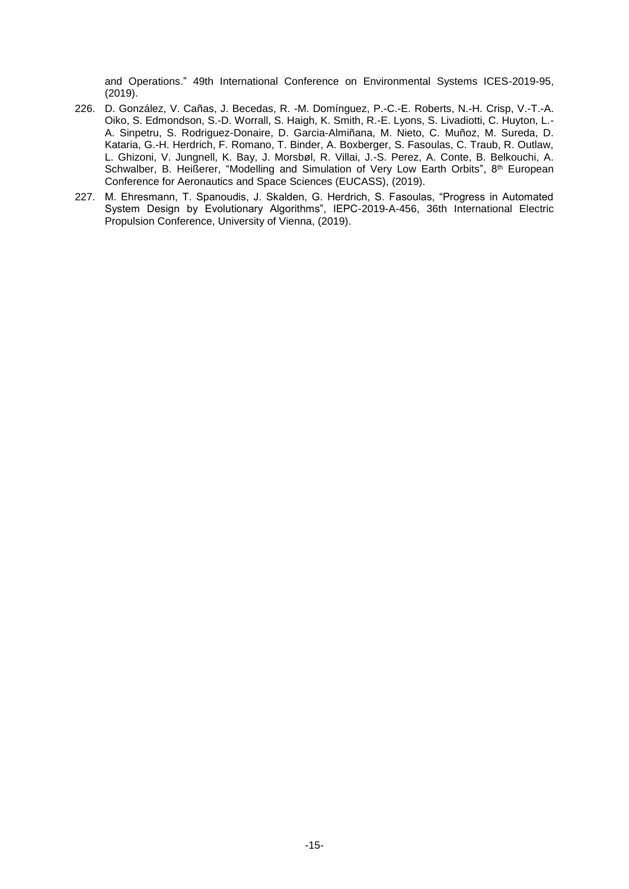and Operations." 49th International Conference on Environmental Systems ICES-2019-95, (2019).

- 226. D. González, V. Cañas, J. Becedas, R. -M. Domínguez, P.-C.-E. Roberts, N.-H. Crisp, V.-T.-A. Oiko, S. Edmondson, S.-D. Worrall, S. Haigh, K. Smith, R.-E. Lyons, S. Livadiotti, C. Huyton, L.- A. Sinpetru, S. Rodriguez-Donaire, D. Garcia-Almiñana, M. Nieto, C. Muñoz, M. Sureda, D. Kataria, G.-H. Herdrich, F. Romano, T. Binder, A. Boxberger, S. Fasoulas, C. Traub, R. Outlaw, L. Ghizoni, V. Jungnell, K. Bay, J. Morsbøl, R. Villai, J.-S. Perez, A. Conte, B. Belkouchi, A. Schwalber, B. Heißerer, "Modelling and Simulation of Very Low Earth Orbits",  $8<sup>th</sup>$  European Conference for Aeronautics and Space Sciences (EUCASS), (2019).
- 227. M. Ehresmann, T. Spanoudis, J. Skalden, G. Herdrich, S. Fasoulas, "Progress in Automated System Design by Evolutionary Algorithms", IEPC-2019-A-456, 36th International Electric Propulsion Conference, University of Vienna, (2019).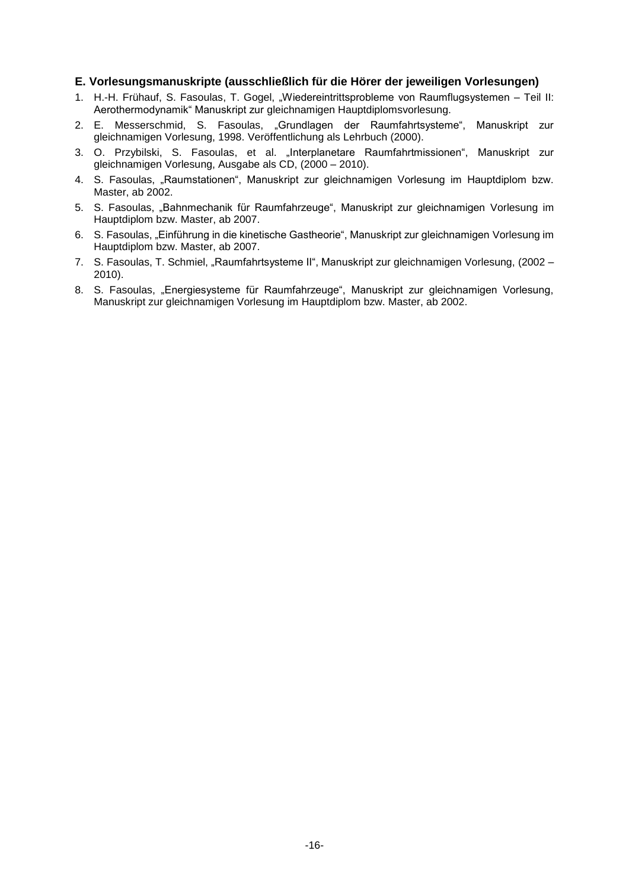### **E. Vorlesungsmanuskripte (ausschließlich für die Hörer der jeweiligen Vorlesungen)**

- 1. H.-H. Frühauf, S. Fasoulas, T. Gogel, "Wiedereintrittsprobleme von Raumflugsystemen Teil II: Aerothermodynamik" Manuskript zur gleichnamigen Hauptdiplomsvorlesung.
- 2. E. Messerschmid, S. Fasoulas, "Grundlagen der Raumfahrtsysteme", Manuskript zur gleichnamigen Vorlesung, 1998. Veröffentlichung als Lehrbuch (2000).
- 3. O. Przybilski, S. Fasoulas, et al. "Interplanetare Raumfahrtmissionen", Manuskript zur gleichnamigen Vorlesung, Ausgabe als CD, (2000 – 2010).
- 4. S. Fasoulas, "Raumstationen", Manuskript zur gleichnamigen Vorlesung im Hauptdiplom bzw. Master, ab 2002.
- 5. S. Fasoulas, "Bahnmechanik für Raumfahrzeuge", Manuskript zur gleichnamigen Vorlesung im Hauptdiplom bzw. Master, ab 2007.
- 6. S. Fasoulas, "Einführung in die kinetische Gastheorie", Manuskript zur gleichnamigen Vorlesung im Hauptdiplom bzw. Master, ab 2007.
- 7. S. Fasoulas, T. Schmiel, "Raumfahrtsysteme II", Manuskript zur gleichnamigen Vorlesung, (2002 2010).
- 8. S. Fasoulas, "Energiesysteme für Raumfahrzeuge", Manuskript zur gleichnamigen Vorlesung, Manuskript zur gleichnamigen Vorlesung im Hauptdiplom bzw. Master, ab 2002.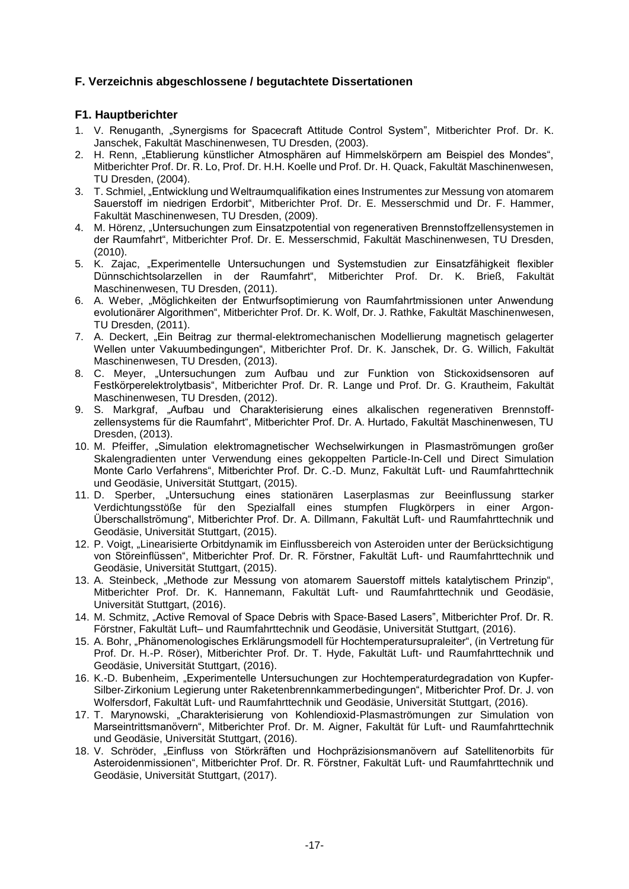## **F. Verzeichnis abgeschlossene / begutachtete Dissertationen**

### **F1. Hauptberichter**

- 1. V. Renuganth, "Synergisms for Spacecraft Attitude Control System", Mitberichter Prof. Dr. K. Janschek, Fakultät Maschinenwesen, TU Dresden, (2003).
- 2. H. Renn, "Etablierung künstlicher Atmosphären auf Himmelskörpern am Beispiel des Mondes", Mitberichter Prof. Dr. R. Lo, Prof. Dr. H.H. Koelle und Prof. Dr. H. Quack, Fakultät Maschinenwesen, TU Dresden, (2004).
- 3. T. Schmiel, "Entwicklung und Weltraumqualifikation eines Instrumentes zur Messung von atomarem Sauerstoff im niedrigen Erdorbit", Mitberichter Prof. Dr. E. Messerschmid und Dr. F. Hammer, Fakultät Maschinenwesen, TU Dresden, (2009).
- 4. M. Hörenz, "Untersuchungen zum Einsatzpotential von regenerativen Brennstoffzellensystemen in der Raumfahrt", Mitberichter Prof. Dr. E. Messerschmid, Fakultät Maschinenwesen, TU Dresden, (2010).
- 5. K. Zajac, "Experimentelle Untersuchungen und Systemstudien zur Einsatzfähigkeit flexibler Dünnschichtsolarzellen in der Raumfahrt", Mitberichter Prof. Dr. K. Brieß, Fakultät Maschinenwesen, TU Dresden, (2011).
- 6. A. Weber, "Möglichkeiten der Entwurfsoptimierung von Raumfahrtmissionen unter Anwendung evolutionärer Algorithmen", Mitberichter Prof. Dr. K. Wolf, Dr. J. Rathke, Fakultät Maschinenwesen, TU Dresden, (2011).
- 7. A. Deckert, "Ein Beitrag zur thermal-elektromechanischen Modellierung magnetisch gelagerter Wellen unter Vakuumbedingungen", Mitberichter Prof. Dr. K. Janschek, Dr. G. Willich, Fakultät Maschinenwesen, TU Dresden, (2013).
- 8. C. Meyer, "Untersuchungen zum Aufbau und zur Funktion von Stickoxidsensoren auf Festkörperelektrolytbasis", Mitberichter Prof. Dr. R. Lange und Prof. Dr. G. Krautheim, Fakultät Maschinenwesen, TU Dresden, (2012).
- 9. S. Markgraf, "Aufbau und Charakterisierung eines alkalischen regenerativen Brennstoffzellensystems für die Raumfahrt", Mitberichter Prof. Dr. A. Hurtado, Fakultät Maschinenwesen, TU Dresden, (2013).
- 10. M. Pfeiffer, "Simulation elektromagnetischer Wechselwirkungen in Plasmaströmungen großer Skalengradienten unter Verwendung eines gekoppelten Particle‐In‐Cell und Direct Simulation Monte Carlo Verfahrens", Mitberichter Prof. Dr. C.-D. Munz, Fakultät Luft- und Raumfahrttechnik und Geodäsie, Universität Stuttgart, (2015).
- 11. D. Sperber, "Untersuchung eines stationären Laserplasmas zur Beeinflussung starker Verdichtungsstöße für den Spezialfall eines stumpfen Flugkörpers in einer Argon‐ Überschallströmung", Mitberichter Prof. Dr. A. Dillmann, Fakultät Luft- und Raumfahrttechnik und Geodäsie, Universität Stuttgart, (2015).
- 12. P. Voigt, "Linearisierte Orbitdynamik im Einflussbereich von Asteroiden unter der Berücksichtigung von Störeinflüssen", Mitberichter Prof. Dr. R. Förstner, Fakultät Luft- und Raumfahrttechnik und Geodäsie, Universität Stuttgart, (2015).
- 13. A. Steinbeck, "Methode zur Messung von atomarem Sauerstoff mittels katalytischem Prinzip", Mitberichter Prof. Dr. K. Hannemann, Fakultät Luft- und Raumfahrttechnik und Geodäsie, Universität Stuttgart, (2016).
- 14. M. Schmitz, "Active Removal of Space Debris with Space-Based Lasers", Mitberichter Prof. Dr. R. Förstner, Fakultät Luft– und Raumfahrttechnik und Geodäsie, Universität Stuttgart, (2016).
- 15. A. Bohr, "Phänomenologisches Erklärungsmodell für Hochtemperatursupraleiter", (in Vertretung für Prof. Dr. H.-P. Röser), Mitberichter Prof. Dr. T. Hyde, Fakultät Luft- und Raumfahrttechnik und Geodäsie, Universität Stuttgart, (2016).
- 16. K.-D. Bubenheim, "Experimentelle Untersuchungen zur Hochtemperaturdegradation von Kupfer‐ Silber‐Zirkonium Legierung unter Raketenbrennkammerbedingungen", Mitberichter Prof. Dr. J. von Wolfersdorf, Fakultät Luft- und Raumfahrttechnik und Geodäsie, Universität Stuttgart, (2016).
- 17. T. Marynowski, "Charakterisierung von Kohlendioxid-Plasmaströmungen zur Simulation von Marseintrittsmanövern", Mitberichter Prof. Dr. M. Aigner, Fakultät für Luft- und Raumfahrttechnik und Geodäsie, Universität Stuttgart, (2016).
- 18. V. Schröder, "Einfluss von Störkräften und Hochpräzisionsmanövern auf Satellitenorbits für Asteroidenmissionen", Mitberichter Prof. Dr. R. Förstner, Fakultät Luft- und Raumfahrttechnik und Geodäsie, Universität Stuttgart, (2017).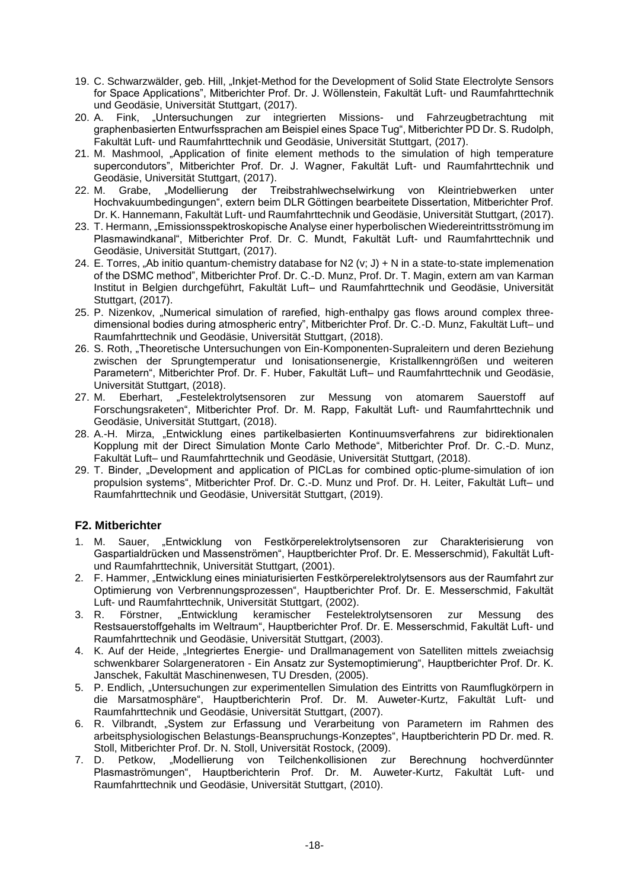- 19. C. Schwarzwälder, geb. Hill, "Inkjet-Method for the Development of Solid State Electrolyte Sensors for Space Applications", Mitberichter Prof. Dr. J. Wöllenstein, Fakultät Luft- und Raumfahrttechnik und Geodäsie, Universität Stuttgart, (2017).
- 20. A. Fink, "Untersuchungen zur integrierten Missions- und Fahrzeugbetrachtung mit graphenbasierten Entwurfssprachen am Beispiel eines Space Tug", Mitberichter PD Dr. S. Rudolph, Fakultät Luft- und Raumfahrttechnik und Geodäsie, Universität Stuttgart, (2017).
- 21. M. Mashmool, "Application of finite element methods to the simulation of high temperature supercondutors", Mitberichter Prof. Dr. J. Wagner, Fakultät Luft- und Raumfahrttechnik und Geodäsie, Universität Stuttgart, (2017).
- "Modellierung der Treibstrahlwechselwirkung von Kleintriebwerken unter Hochvakuumbedingungen", extern beim DLR Göttingen bearbeitete Dissertation, Mitberichter Prof. Dr. K. Hannemann, Fakultät Luft- und Raumfahrttechnik und Geodäsie, Universität Stuttgart, (2017).
- 23. T. Hermann, "Emissionsspektroskopische Analyse einer hyperbolischen Wiedereintrittsströmung im Plasmawindkanal", Mitberichter Prof. Dr. C. Mundt, Fakultät Luft- und Raumfahrttechnik und Geodäsie, Universität Stuttgart, (2017).
- 24. E. Torres,  $\Delta$ b initio quantum-chemistry database for N2 (v; J) + N in a state-to-state implemenation of the DSMC method", Mitberichter Prof. Dr. C.-D. Munz, Prof. Dr. T. Magin, extern am van Karman Institut in Belgien durchgeführt, Fakultät Luft– und Raumfahrttechnik und Geodäsie, Universität Stuttgart, (2017).
- 25. P. Nizenkov, "Numerical simulation of rarefied, high-enthalpy gas flows around complex threedimensional bodies during atmospheric entry", Mitberichter Prof. Dr. C.-D. Munz, Fakultät Luft– und Raumfahrttechnik und Geodäsie, Universität Stuttgart, (2018).
- 26. S. Roth, "Theoretische Untersuchungen von Ein‐Komponenten‐Supraleitern und deren Beziehung zwischen der Sprungtemperatur und Ionisationsenergie, Kristallkenngrößen und weiteren Parametern", Mitberichter Prof. Dr. F. Huber, Fakultät Luft– und Raumfahrttechnik und Geodäsie, Universität Stuttgart, (2018).
- 27. M. Eberhart, "Festelektrolytsensoren zur Messung von atomarem Sauerstoff auf Forschungsraketen", Mitberichter Prof. Dr. M. Rapp, Fakultät Luft- und Raumfahrttechnik und Geodäsie, Universität Stuttgart, (2018).
- 28. A.-H. Mirza, "Entwicklung eines partikelbasierten Kontinuumsverfahrens zur bidirektionalen Kopplung mit der Direct Simulation Monte Carlo Methode", Mitberichter Prof. Dr. C.-D. Munz, Fakultät Luft– und Raumfahrttechnik und Geodäsie, Universität Stuttgart, (2018).
- 29. T. Binder, "Development and application of PICLas for combined optic-plume-simulation of ion propulsion systems", Mitberichter Prof. Dr. C.-D. Munz und Prof. Dr. H. Leiter, Fakultät Luft– und Raumfahrttechnik und Geodäsie, Universität Stuttgart, (2019).

# **F2. Mitberichter**

- 1. M. Sauer, "Entwicklung von Festkörperelektrolytsensoren zur Charakterisierung von Gaspartialdrücken und Massenströmen", Hauptberichter Prof. Dr. E. Messerschmid), Fakultät Luftund Raumfahrttechnik, Universität Stuttgart, (2001).
- 2. F. Hammer, "Entwicklung eines miniaturisierten Festkörperelektrolytsensors aus der Raumfahrt zur Optimierung von Verbrennungsprozessen", Hauptberichter Prof. Dr. E. Messerschmid, Fakultät Luft- und Raumfahrttechnik, Universität Stuttgart, (2002).
- 3. R. Förstner, "Entwicklung keramischer Festelektrolytsensoren zur Messung des Restsauerstoffgehalts im Weltraum", Hauptberichter Prof. Dr. E. Messerschmid, Fakultät Luft- und Raumfahrttechnik und Geodäsie, Universität Stuttgart, (2003).
- 4. K. Auf der Heide, "Integriertes Energie- und Drallmanagement von Satelliten mittels zweiachsig schwenkbarer Solargeneratoren - Ein Ansatz zur Systemoptimierung", Hauptberichter Prof. Dr. K. Janschek, Fakultät Maschinenwesen, TU Dresden, (2005).
- 5. P. Endlich, "Untersuchungen zur experimentellen Simulation des Eintritts von Raumflugkörpern in die Marsatmosphäre", Hauptberichterin Prof. Dr. M. Auweter-Kurtz, Fakultät Luft- und Raumfahrttechnik und Geodäsie, Universität Stuttgart, (2007).
- 6. R. Vilbrandt, "System zur Erfassung und Verarbeitung von Parametern im Rahmen des arbeitsphysiologischen Belastungs-Beanspruchungs-Konzeptes", Hauptberichterin PD Dr. med. R. Stoll, Mitberichter Prof. Dr. N. Stoll, Universität Rostock, (2009).
- 7. D. Petkow, "Modellierung von Teilchenkollisionen zur Berechnung hochverdünnter Plasmaströmungen", Hauptberichterin Prof. Dr. M. Auweter-Kurtz, Fakultät Luft- und Raumfahrttechnik und Geodäsie, Universität Stuttgart, (2010).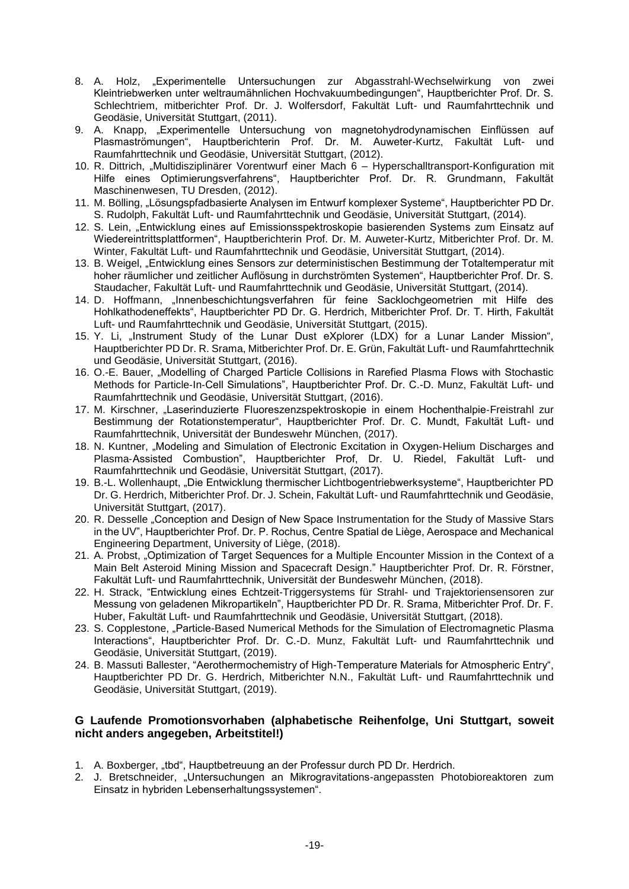- 8. A. Holz, "Experimentelle Untersuchungen zur Abgasstrahl‐Wechselwirkung von zwei Kleintriebwerken unter weltraumähnlichen Hochvakuumbedingungen", Hauptberichter Prof. Dr. S. Schlechtriem, mitberichter Prof. Dr. J. Wolfersdorf, Fakultät Luft- und Raumfahrttechnik und Geodäsie, Universität Stuttgart, (2011).
- 9. A. Knapp, "Experimentelle Untersuchung von magnetohydrodynamischen Einflüssen auf Plasmaströmungen", Hauptberichterin Prof. Dr. M. Auweter-Kurtz, Fakultät Luft- und Raumfahrttechnik und Geodäsie, Universität Stuttgart, (2012).
- 10. R. Dittrich, "Multidisziplinärer Vorentwurf einer Mach 6 Hyperschalltransport-Konfiguration mit Hilfe eines Optimierungsverfahrens", Hauptberichter Prof. Dr. R. Grundmann, Fakultät Maschinenwesen, TU Dresden, (2012).
- 11. M. Bölling, "Lösungspfadbasierte Analysen im Entwurf komplexer Systeme", Hauptberichter PD Dr. S. Rudolph, Fakultät Luft- und Raumfahrttechnik und Geodäsie, Universität Stuttgart, (2014).
- 12. S. Lein, "Entwicklung eines auf Emissionsspektroskopie basierenden Systems zum Einsatz auf Wiedereintrittsplattformen", Hauptberichterin Prof. Dr. M. Auweter-Kurtz, Mitberichter Prof. Dr. M. Winter, Fakultät Luft- und Raumfahrttechnik und Geodäsie, Universität Stuttgart, (2014).
- 13. B. Weigel, "Entwicklung eines Sensors zur deterministischen Bestimmung der Totaltemperatur mit hoher räumlicher und zeitlicher Auflösung in durchströmten Systemen", Hauptberichter Prof. Dr. S. Staudacher, Fakultät Luft- und Raumfahrttechnik und Geodäsie, Universität Stuttgart, (2014).
- 14. D. Hoffmann, "Innenbeschichtungsverfahren für feine Sacklochgeometrien mit Hilfe des Hohlkathodeneffekts", Hauptberichter PD Dr. G. Herdrich, Mitberichter Prof. Dr. T. Hirth, Fakultät Luft- und Raumfahrttechnik und Geodäsie, Universität Stuttgart, (2015).
- 15. Y. Li, "Instrument Study of the Lunar Dust eXplorer (LDX) for a Lunar Lander Mission", Hauptberichter PD Dr. R. Srama, Mitberichter Prof. Dr. E. Grün, Fakultät Luft- und Raumfahrttechnik und Geodäsie, Universität Stuttgart, (2016).
- 16. O.-E. Bauer, "Modelling of Charged Particle Collisions in Rarefied Plasma Flows with Stochastic Methods for Particle‐In‐Cell Simulations", Hauptberichter Prof. Dr. C.-D. Munz, Fakultät Luft- und Raumfahrttechnik und Geodäsie, Universität Stuttgart, (2016).
- 17. M. Kirschner, "Laserinduzierte Fluoreszenzspektroskopie in einem Hochenthalpie-Freistrahl zur Bestimmung der Rotationstemperatur", Hauptberichter Prof. Dr. C. Mundt, Fakultät Luft- und Raumfahrttechnik, Universität der Bundeswehr München, (2017).
- 18. N. Kuntner, "Modeling and Simulation of Electronic Excitation in Oxygen-Helium Discharges and Plasma‐Assisted Combustion", Hauptberichter Prof, Dr. U. Riedel, Fakultät Luft- und Raumfahrttechnik und Geodäsie, Universität Stuttgart, (2017).
- 19. B.-L. Wollenhaupt, "Die Entwicklung thermischer Lichtbogentriebwerksysteme", Hauptberichter PD Dr. G. Herdrich, Mitberichter Prof. Dr. J. Schein, Fakultät Luft- und Raumfahrttechnik und Geodäsie, Universität Stuttgart, (2017).
- 20. R. Desselle "Conception and Design of New Space Instrumentation for the Study of Massive Stars in the UV", Hauptberichter Prof. Dr. P. Rochus, Centre Spatial de Liège, Aerospace and Mechanical Engineering Department, University of Liège, (2018).
- 21. A. Probst, "Optimization of Target Sequences for a Multiple Encounter Mission in the Context of a Main Belt Asteroid Mining Mission and Spacecraft Design." Hauptberichter Prof. Dr. R. Förstner, Fakultät Luft- und Raumfahrttechnik, Universität der Bundeswehr München, (2018).
- 22. H. Strack, "Entwicklung eines Echtzeit-Triggersystems für Strahl- und Trajektoriensensoren zur Messung von geladenen Mikropartikeln", Hauptberichter PD Dr. R. Srama, Mitberichter Prof. Dr. F. Huber, Fakultät Luft- und Raumfahrttechnik und Geodäsie, Universität Stuttgart, (2018).
- 23. S. Copplestone, "Particle-Based Numerical Methods for the Simulation of Electromagnetic Plasma Interactions", Hauptberichter Prof. Dr. C.-D. Munz, Fakultät Luft- und Raumfahrttechnik und Geodäsie, Universität Stuttgart, (2019).
- 24. B. Massuti Ballester, "Aerothermochemistry of High-Temperature Materials for Atmospheric Entry", Hauptberichter PD Dr. G. Herdrich, Mitberichter N.N., Fakultät Luft- und Raumfahrttechnik und Geodäsie, Universität Stuttgart, (2019).

### **G Laufende Promotionsvorhaben (alphabetische Reihenfolge, Uni Stuttgart, soweit nicht anders angegeben, Arbeitstitel!)**

- 1. A. Boxberger, "tbd", Hauptbetreuung an der Professur durch PD Dr. Herdrich.
- 2. J. Bretschneider, "Untersuchungen an Mikrogravitations-angepassten Photobioreaktoren zum Einsatz in hybriden Lebenserhaltungssystemen".